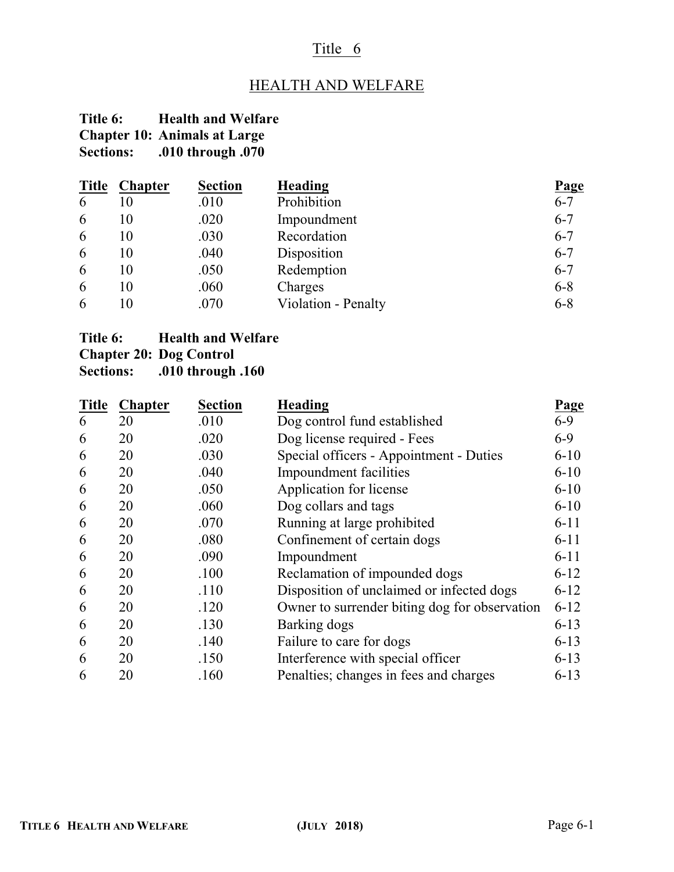# Title 6

# HEALTH AND WELFARE

# **Title 6: Health and Welfare Chapter 10: Animals at Large Sections: .010 through .070**

| <b>Title</b> | <b>Chapter</b> | <b>Section</b> | <b>Heading</b>      | Page    |
|--------------|----------------|----------------|---------------------|---------|
| 6            | 10             | .010           | Prohibition         | $6 - 7$ |
| 6            | 10             | .020           | Impoundment         | $6 - 7$ |
| 6            | 10             | .030           | Recordation         | $6 - 7$ |
| 6            | 10             | .040           | Disposition         | $6 - 7$ |
| 6            | 10             | .050           | Redemption          | $6 - 7$ |
| 6            | 10             | .060           | Charges             | $6 - 8$ |
| 6            | 10             | .070           | Violation - Penalty | $6 - 8$ |

# **Title 6: Health and Welfare**

**Chapter 20: Dog Control**

**Sections: .010 through .160**

| <b>Title</b> | <b>Chapter</b> | <b>Section</b> | <b>Heading</b>                                | <b>Page</b> |
|--------------|----------------|----------------|-----------------------------------------------|-------------|
| 6            | 20             | .010           | Dog control fund established                  | $6 - 9$     |
| 6            | 20             | .020           | Dog license required - Fees                   | $6 - 9$     |
| 6            | 20             | .030           | Special officers - Appointment - Duties       | $6 - 10$    |
| 6            | 20             | .040           | Impoundment facilities                        | $6 - 10$    |
| 6            | 20             | .050           | Application for license                       | $6 - 10$    |
| 6            | 20             | .060           | Dog collars and tags                          | $6 - 10$    |
| 6            | 20             | .070           | Running at large prohibited                   | $6 - 11$    |
| 6            | 20             | .080           | Confinement of certain dogs                   | $6 - 11$    |
| 6            | 20             | .090           | Impoundment                                   | $6 - 11$    |
| 6            | 20             | .100           | Reclamation of impounded dogs                 | $6 - 12$    |
| 6            | 20             | .110           | Disposition of unclaimed or infected dogs     | $6 - 12$    |
| 6            | 20             | .120           | Owner to surrender biting dog for observation | $6 - 12$    |
| 6            | 20             | .130           | Barking dogs                                  | $6 - 13$    |
| 6            | 20             | .140           | Failure to care for dogs                      | $6 - 13$    |
| 6            | 20             | .150           | Interference with special officer             | $6 - 13$    |
| 6            | 20             | .160           | Penalties; changes in fees and charges        | $6 - 13$    |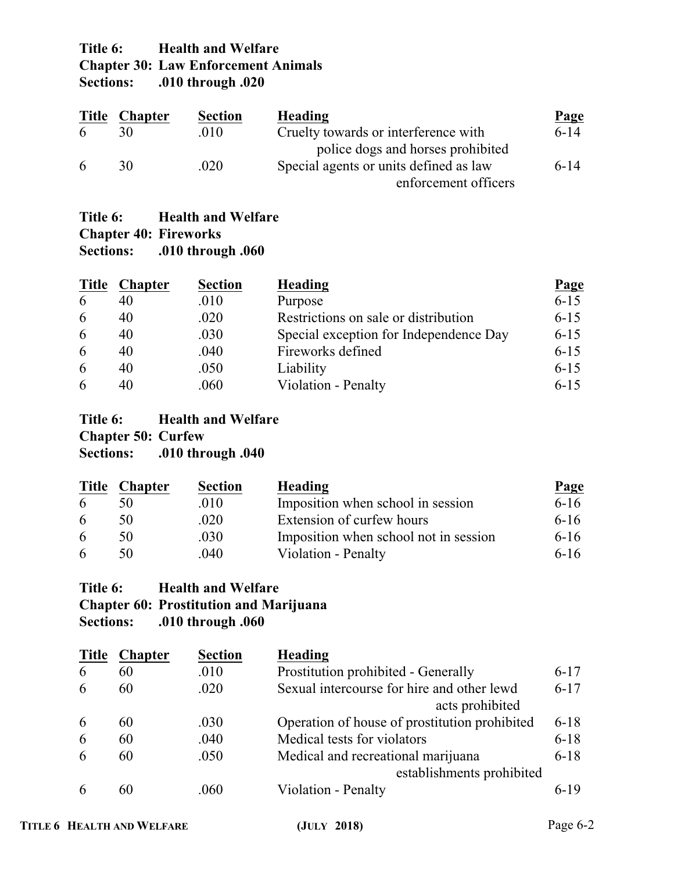# **Title 6: Health and Welfare Chapter 30: Law Enforcement Animals**<br>Sections: .010 through .020 **Sections: .010 through .020**

| <b>Title</b> | <b>Chapter</b> | <b>Section</b> | <b>Heading</b>                         | Page     |
|--------------|----------------|----------------|----------------------------------------|----------|
| 6            | 30             | .010           | Cruelty towards or interference with   | $6 - 14$ |
|              |                |                | police dogs and horses prohibited      |          |
| 6            | 30             | .020           | Special agents or units defined as law | $6 - 14$ |
|              |                |                | enforcement officers                   |          |

# **Title 6: Health and Welfare Chapter 40: Fireworks**<br>**Sections:** .010 through **Sections: .010 through .060**

| <b>Title</b> | <b>Chapter</b> | <b>Section</b> | Heading                                | <b>Page</b> |
|--------------|----------------|----------------|----------------------------------------|-------------|
| 6            | 40             | .010           | Purpose                                | $6 - 15$    |
| 6            | 40             | .020           | Restrictions on sale or distribution   | $6 - 15$    |
| 6            | 40             | .030           | Special exception for Independence Day | $6 - 15$    |
| 6            | 40             | .040           | Fireworks defined                      | $6 - 15$    |
| 6            | 40             | .050           | Liability                              | $6 - 15$    |
| 6            |                | .060           | Violation - Penalty                    | $6 - 15$    |

## **Title 6: Health and Welfare Chapter 50: Curfew Sections: .010 through .040**

| <b>Title</b> | <b>Chapter</b> | <b>Section</b> | Heading                               | <b>Page</b> |
|--------------|----------------|----------------|---------------------------------------|-------------|
| 6            |                | .010           | Imposition when school in session     | $6 - 16$    |
| 6            | 50             | .020           | Extension of curfew hours             | $6 - 16$    |
| 6            | 50             | .030           | Imposition when school not in session | $6 - 16$    |
| 6            | 50             | .040           | Violation - Penalty                   | $6 - 16$    |

# **Title 6: Health and Welfare Chapter 60: Prostitution and Marijuana Sections: .010 through .060**

| <b>Title</b> | <b>Chapter</b> | <b>Section</b> | <b>Heading</b>                                |          |
|--------------|----------------|----------------|-----------------------------------------------|----------|
| 6            | 60             | .010           | Prostitution prohibited - Generally           | $6 - 17$ |
| 6            | 60             | .020           | Sexual intercourse for hire and other lewd    | $6 - 17$ |
|              |                |                | acts prohibited                               |          |
| 6            | 60             | .030           | Operation of house of prostitution prohibited | $6 - 18$ |
| 6            | 60             | .040           | Medical tests for violators                   | $6 - 18$ |
| 6            | 60             | .050           | Medical and recreational marijuana            | $6 - 18$ |
|              |                |                | establishments prohibited                     |          |
|              | 60             | .060           | Violation - Penalty                           | $6-19$   |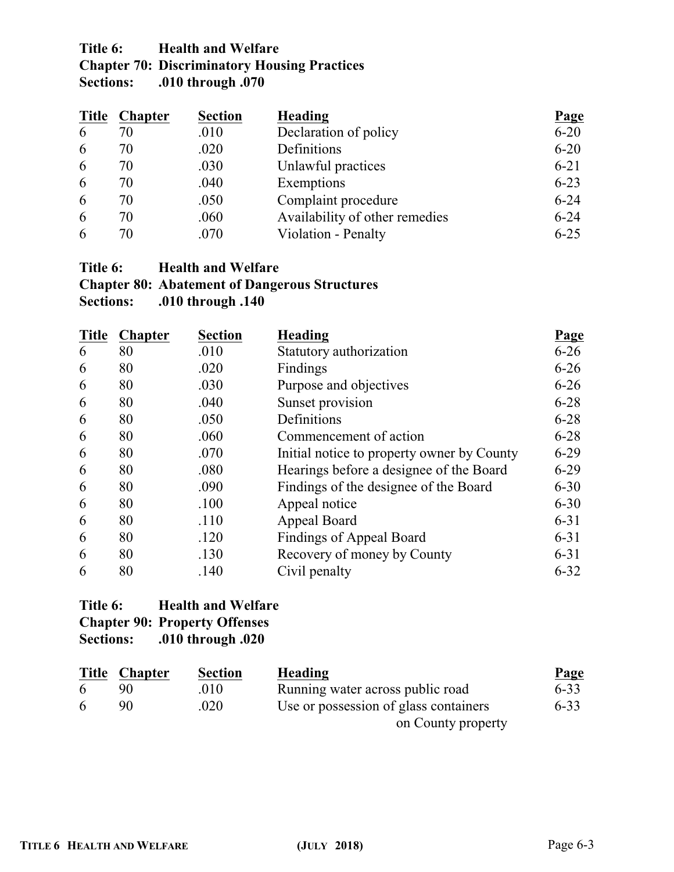# **Title 6: Health and Welfare Chapter 70: Discriminatory Housing Practices Sections: .010 through .070**

| <b>Title</b> | <b>Chapter</b> | <b>Section</b> | <b>Heading</b>                 | Page     |
|--------------|----------------|----------------|--------------------------------|----------|
| 6            | 70             | .010           | Declaration of policy          | $6 - 20$ |
| 6            | 70             | .020           | Definitions                    | $6 - 20$ |
| 6            | 70             | .030           | Unlawful practices             | $6 - 21$ |
| 6            | 70             | .040           | Exemptions                     | $6 - 23$ |
| 6            | 70             | .050           | Complaint procedure            | $6 - 24$ |
| 6            | 70             | .060           | Availability of other remedies | $6 - 24$ |
| 6            | 70             | .070           | Violation - Penalty            | $6 - 25$ |

# **Title 6: Health and Welfare Chapter 80: Abatement of Dangerous Structures**

**Sections: .010 through .140**

| <b>Title</b> | <b>Chapter</b> | <b>Section</b> | <b>Heading</b>                             | Page     |
|--------------|----------------|----------------|--------------------------------------------|----------|
| 6            | 80             | .010           | Statutory authorization                    | $6 - 26$ |
| 6            | 80             | .020           | Findings                                   | $6 - 26$ |
| 6            | 80             | .030           | Purpose and objectives                     | $6 - 26$ |
| 6            | 80             | .040           | Sunset provision                           | $6 - 28$ |
| 6            | 80             | .050           | Definitions                                | $6 - 28$ |
| 6            | 80             | .060           | Commencement of action                     | $6 - 28$ |
| 6            | 80             | .070           | Initial notice to property owner by County | $6 - 29$ |
| 6            | 80             | .080           | Hearings before a designee of the Board    | $6-29$   |
| 6            | 80             | .090           | Findings of the designee of the Board      | $6 - 30$ |
| 6            | 80             | .100           | Appeal notice                              | $6 - 30$ |
| 6            | 80             | .110           | Appeal Board                               | $6 - 31$ |
| 6            | 80             | .120           | <b>Findings of Appeal Board</b>            | $6 - 31$ |
| 6            | 80             | .130           | Recovery of money by County                | $6 - 31$ |
| 6            | 80             | .140           | Civil penalty                              | $6 - 32$ |

# **Title 6: Health and Welfare Chapter 90: Property Offenses Sections: .010 through .020**

| <u>Title</u> | <b>Chapter</b> | <b>Section</b> | <b>Heading</b>                        | Page     |
|--------------|----------------|----------------|---------------------------------------|----------|
|              | 90.            | .010           | Running water across public road      | $6 - 33$ |
| $\sqrt{2}$   | -90-           | .020           | Use or possession of glass containers | $6 - 33$ |
|              |                |                | on County property                    |          |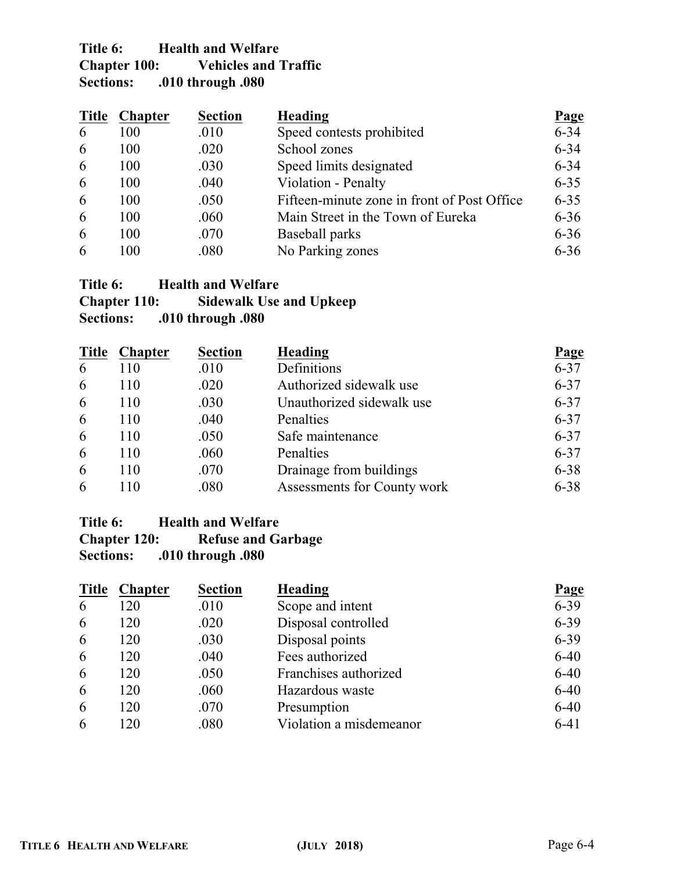# **Title 6: Health and Welfare Chapter 100: Vehicles and Traffic**<br>Sections: .010 through .080 **Sections: .010 through .080**

| <b>Title</b> | <b>Chapter</b> | <b>Section</b> | Heading                                     | <b>Page</b> |
|--------------|----------------|----------------|---------------------------------------------|-------------|
| 6            | 100            | .010           | Speed contests prohibited                   | $6 - 34$    |
| 6            | 100            | .020           | School zones                                | $6 - 34$    |
| 6            | 100            | .030           | Speed limits designated                     | $6 - 34$    |
| 6            | 100            | .040           | Violation - Penalty                         | $6 - 35$    |
| 6            | 100            | .050           | Fifteen-minute zone in front of Post Office | $6 - 35$    |
| 6            | 100            | .060           | Main Street in the Town of Eureka           | $6 - 36$    |
| 6            | 100            | .070           | Baseball parks                              | $6 - 36$    |
| 6            | 100            | .080           | No Parking zones                            | $6 - 36$    |

# **Title 6: Health and Welfare**

| <b>Chapter 110:</b> | <b>Sidewalk Use and Upkeep</b> |
|---------------------|--------------------------------|
| <b>Sections:</b>    | .010 through .080              |

| <b>Title</b> | <b>Chapter</b> | <b>Section</b> | <b>Heading</b>              | Page     |
|--------------|----------------|----------------|-----------------------------|----------|
| 6            | 110            | .010           | Definitions                 | $6 - 37$ |
| 6            | 110            | .020           | Authorized sidewalk use     | $6 - 37$ |
| 6            | 110            | .030           | Unauthorized sidewalk use   | $6 - 37$ |
| 6            | 110            | .040           | Penalties                   | $6 - 37$ |
| 6            | 110            | .050           | Safe maintenance            | $6 - 37$ |
| 6            | 110            | .060           | Penalties                   | $6 - 37$ |
| 6            | 110            | .070           | Drainage from buildings     | $6 - 38$ |
| 6            | 110            | .080           | Assessments for County work | $6 - 38$ |

# Title 6: **Health and Welfare**<br>**Chapter 120:** Refuse and Ga

**Chapter 120: Refuse and Garbage**

**Sections: .010 through .080**

| <b>Title</b> | <b>Chapter</b> | <b>Section</b> | <b>Heading</b>          | Page     |
|--------------|----------------|----------------|-------------------------|----------|
| 6            | 120            | .010           | Scope and intent        | $6 - 39$ |
| 6            | 120            | .020           | Disposal controlled     | $6 - 39$ |
| 6            | 120            | .030           | Disposal points         | $6 - 39$ |
| 6            | 120            | .040           | Fees authorized         | $6 - 40$ |
| 6            | 120            | .050           | Franchises authorized   | $6 - 40$ |
| 6            | 120            | .060           | Hazardous waste         | $6 - 40$ |
| 6            | 120            | .070           | Presumption             | $6 - 40$ |
| 6            | 120            | .080           | Violation a misdemeanor | $6 - 41$ |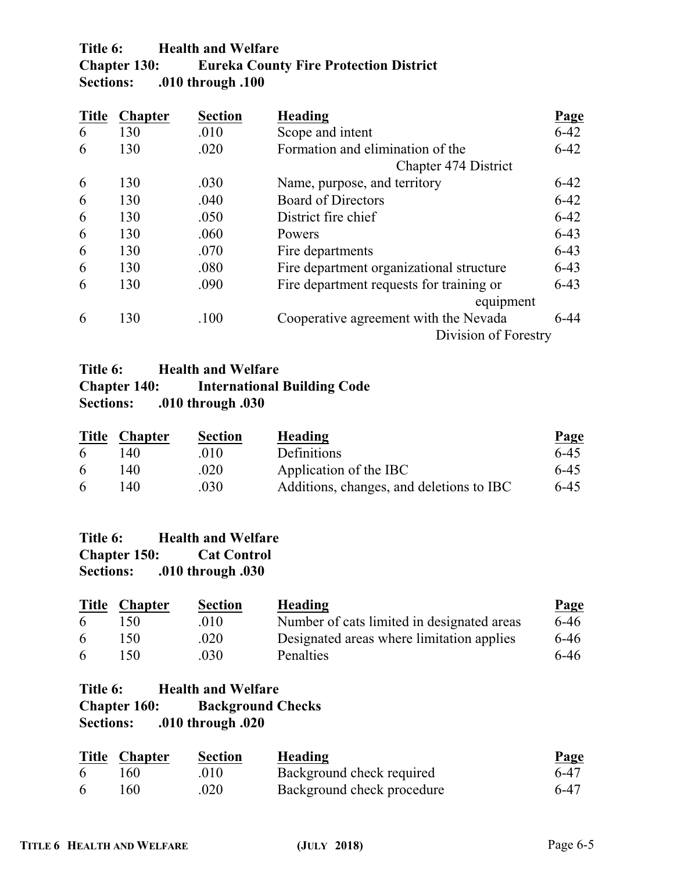# **Title 6: Health and Welfare Chapter 130: Eureka County Fire Protection District Sections: .010 through .100**

| <b>Title</b> | <b>Chapter</b> | <b>Section</b> | <b>Heading</b>                           | <b>Page</b> |
|--------------|----------------|----------------|------------------------------------------|-------------|
| 6            | 130            | .010           | Scope and intent                         | $6 - 42$    |
| 6            | 130            | .020           | Formation and elimination of the         | $6 - 42$    |
|              |                |                | <b>Chapter 474 District</b>              |             |
| 6            | 130            | .030           | Name, purpose, and territory             | $6 - 42$    |
| 6            | 130            | .040           | <b>Board of Directors</b>                | $6 - 42$    |
| 6            | 130            | .050           | District fire chief                      | $6 - 42$    |
| 6            | 130            | .060           | Powers                                   | $6 - 43$    |
| 6            | 130            | .070           | Fire departments                         | $6 - 43$    |
| 6            | 130            | .080           | Fire department organizational structure | $6 - 43$    |
| 6            | 130            | .090           | Fire department requests for training or | $6 - 43$    |
|              |                |                | equipment                                |             |
| 6            | 130            | .100           | Cooperative agreement with the Nevada    | $6-44$      |
|              |                |                | Division of Forestry                     |             |

# Title 6: **Health and Welfare**<br>**Chapter 140: International International Building Code Sections: .010 through .030**

| <b>Title</b> | <b>Chapter</b> | <b>Section</b> | Heading                                  | <b>Page</b> |
|--------------|----------------|----------------|------------------------------------------|-------------|
| 6            | 14O            | .010           | Definitions                              | $6 - 45$    |
| 6            | 140            | .020           | Application of the IBC                   | $6-45$      |
| 6            | 14O            | .030           | Additions, changes, and deletions to IBC | $6-45$      |

| Title 6:            | <b>Health and Welfare</b> |
|---------------------|---------------------------|
| <b>Chapter 150:</b> | <b>Cat Control</b>        |
| <b>Sections:</b>    | .010 through .030         |

| <b>Title</b> | <b>Chapter</b> | <b>Section</b> | Heading                                    | Page   |
|--------------|----------------|----------------|--------------------------------------------|--------|
| 6            | 150            | .010           | Number of cats limited in designated areas | $6-46$ |
| 6            | 150.           | .020           | Designated areas where limitation applies  | $6-46$ |
| 6            | 150            | .030           | Penalties                                  | $6-46$ |

# **Title 6: Health and Welfare Chapter 160: Background Checks Sections: .010 through .020**

|    | <b>Title Chapter</b> | <b>Section</b> | Heading                    | <b>Page</b> |
|----|----------------------|----------------|----------------------------|-------------|
| -6 | 160.                 | .010           | Background check required  | 6-47        |
| -6 | 160                  | .020           | Background check procedure | 6-47        |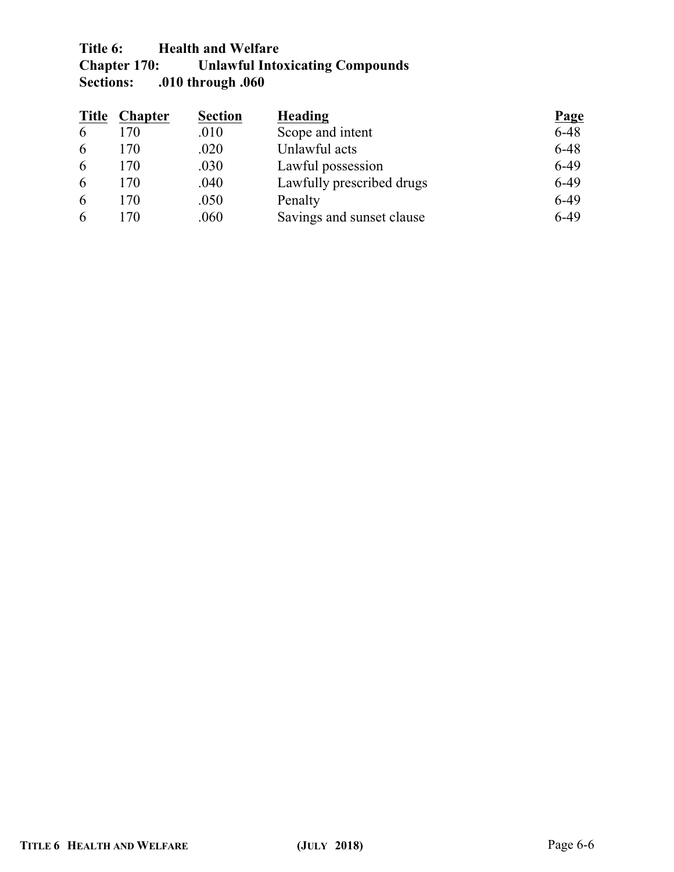# Title 6: **Health and Welfare**<br>Chapter 170: **Unlawful Into Chapter 170: Unlawful Intoxicating Compounds Sections: .010 through .060**

| <b>Title</b> | <b>Chapter</b> | <b>Section</b> | <b>Heading</b>            | Page     |
|--------------|----------------|----------------|---------------------------|----------|
| 6            | 170            | .010           | Scope and intent          | $6 - 48$ |
| 6            | 170            | .020           | Unlawful acts             | $6 - 48$ |
| 6            | 170            | .030           | Lawful possession         | $6-49$   |
| 6            | 170            | .040           | Lawfully prescribed drugs | $6-49$   |
| 6            | 170            | .050           | Penalty                   | $6-49$   |
| 6            | 170            | .060           | Savings and sunset clause | $6-49$   |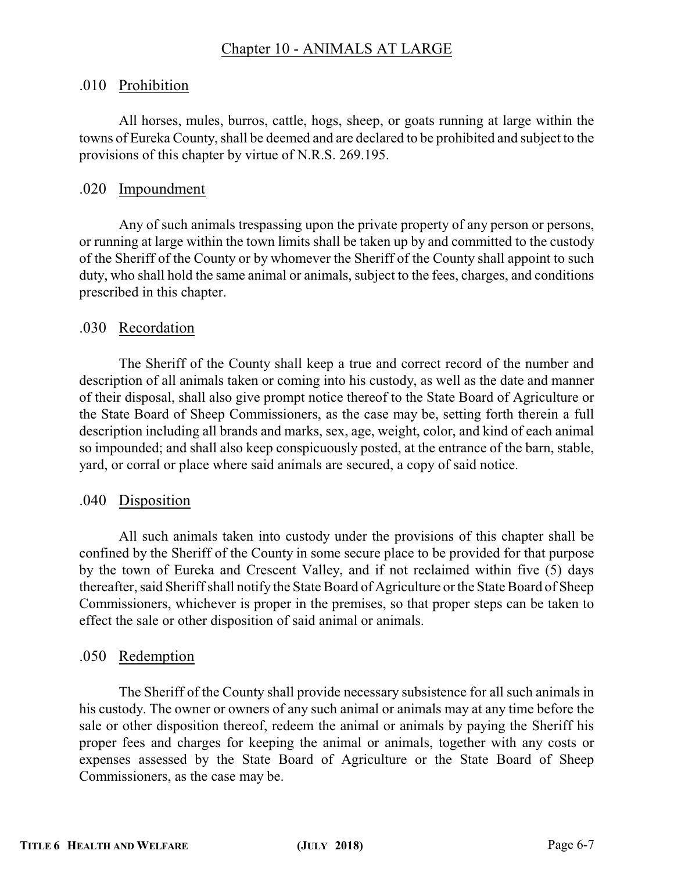# Chapter 10 - ANIMALS AT LARGE

#### .010 Prohibition

All horses, mules, burros, cattle, hogs, sheep, or goats running at large within the towns of Eureka County, shall be deemed and are declared to be prohibited and subject to the provisions of this chapter by virtue of N.R.S. 269.195.

### .020 Impoundment

Any of such animals trespassing upon the private property of any person or persons, or running at large within the town limits shall be taken up by and committed to the custody of the Sheriff of the County or by whomever the Sheriff of the County shall appoint to such duty, who shall hold the same animal or animals, subject to the fees, charges, and conditions prescribed in this chapter.

### .030 Recordation

The Sheriff of the County shall keep a true and correct record of the number and description of all animals taken or coming into his custody, as well as the date and manner of their disposal, shall also give prompt notice thereof to the State Board of Agriculture or the State Board of Sheep Commissioners, as the case may be, setting forth therein a full description including all brands and marks, sex, age, weight, color, and kind of each animal so impounded; and shall also keep conspicuously posted, at the entrance of the barn, stable, yard, or corral or place where said animals are secured, a copy of said notice.

#### .040 Disposition

All such animals taken into custody under the provisions of this chapter shall be confined by the Sheriff of the County in some secure place to be provided for that purpose by the town of Eureka and Crescent Valley, and if not reclaimed within five (5) days thereafter, said Sheriffshall notify the State Board of Agriculture or the State Board of Sheep Commissioners, whichever is proper in the premises, so that proper steps can be taken to effect the sale or other disposition of said animal or animals.

## .050 Redemption

The Sheriff of the County shall provide necessary subsistence for all such animals in his custody. The owner or owners of any such animal or animals may at any time before the sale or other disposition thereof, redeem the animal or animals by paying the Sheriff his proper fees and charges for keeping the animal or animals, together with any costs or expenses assessed by the State Board of Agriculture or the State Board of Sheep Commissioners, as the case may be.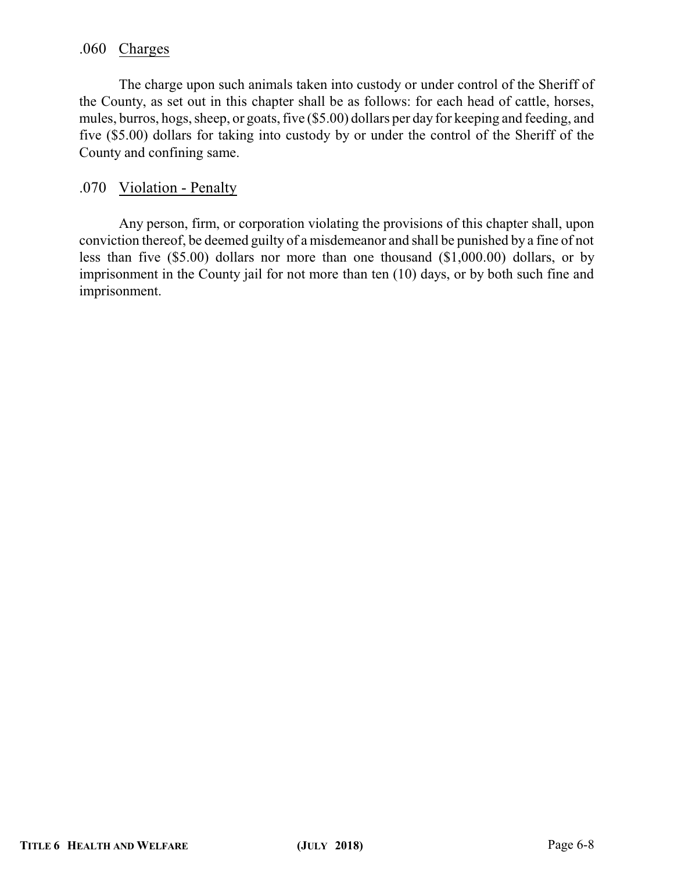# .060 Charges

The charge upon such animals taken into custody or under control of the Sheriff of the County, as set out in this chapter shall be as follows: for each head of cattle, horses, mules, burros, hogs, sheep, or goats, five (\$5.00) dollars per day for keeping and feeding, and five (\$5.00) dollars for taking into custody by or under the control of the Sheriff of the County and confining same.

### .070 Violation - Penalty

Any person, firm, or corporation violating the provisions of this chapter shall, upon conviction thereof, be deemed guilty of a misdemeanor and shall be punished by a fine of not less than five (\$5.00) dollars nor more than one thousand (\$1,000.00) dollars, or by imprisonment in the County jail for not more than ten (10) days, or by both such fine and imprisonment.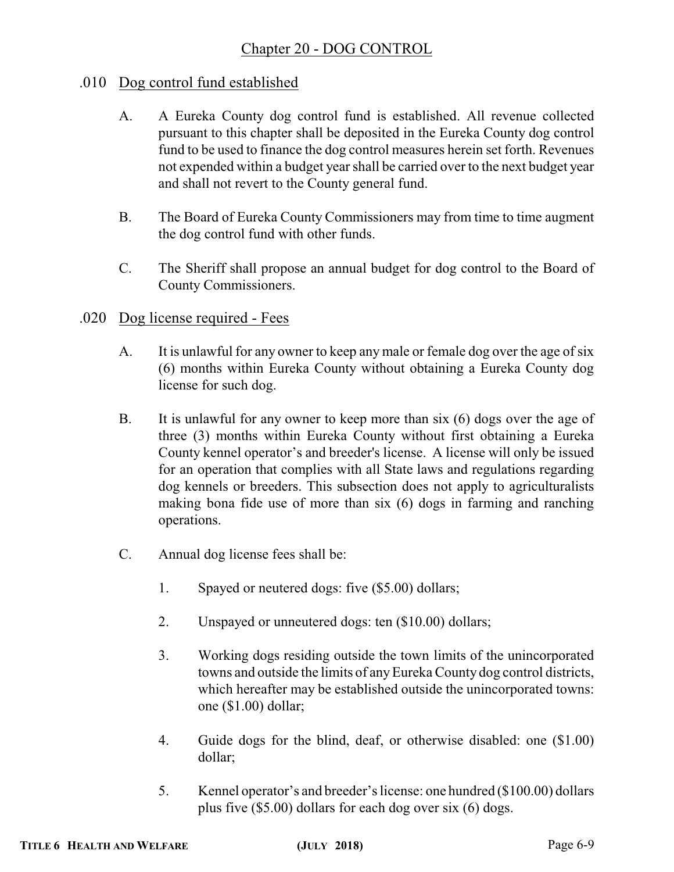# Chapter 20 - DOG CONTROL

# .010 Dog control fund established

- A. A Eureka County dog control fund is established. All revenue collected pursuant to this chapter shall be deposited in the Eureka County dog control fund to be used to finance the dog control measures herein set forth. Revenues not expended within a budget year shall be carried over to the next budget year and shall not revert to the County general fund.
- B. The Board of Eureka County Commissioners may from time to time augment the dog control fund with other funds.
- C. The Sheriff shall propose an annual budget for dog control to the Board of County Commissioners.
- .020 Dog license required Fees
	- A. It is unlawful for any owner to keep any male or female dog over the age of six (6) months within Eureka County without obtaining a Eureka County dog license for such dog.
	- B. It is unlawful for any owner to keep more than six (6) dogs over the age of three (3) months within Eureka County without first obtaining a Eureka County kennel operator's and breeder's license. A license will only be issued for an operation that complies with all State laws and regulations regarding dog kennels or breeders. This subsection does not apply to agriculturalists making bona fide use of more than six (6) dogs in farming and ranching operations.
	- C. Annual dog license fees shall be:
		- 1. Spayed or neutered dogs: five (\$5.00) dollars;
		- 2. Unspayed or unneutered dogs: ten (\$10.00) dollars;
		- 3. Working dogs residing outside the town limits of the unincorporated towns and outside the limits of anyEureka County dog control districts, which hereafter may be established outside the unincorporated towns: one (\$1.00) dollar;
		- 4. Guide dogs for the blind, deaf, or otherwise disabled: one (\$1.00) dollar;
		- 5. Kennel operator's and breeder's license: one hundred (\$100.00) dollars plus five (\$5.00) dollars for each dog over six (6) dogs.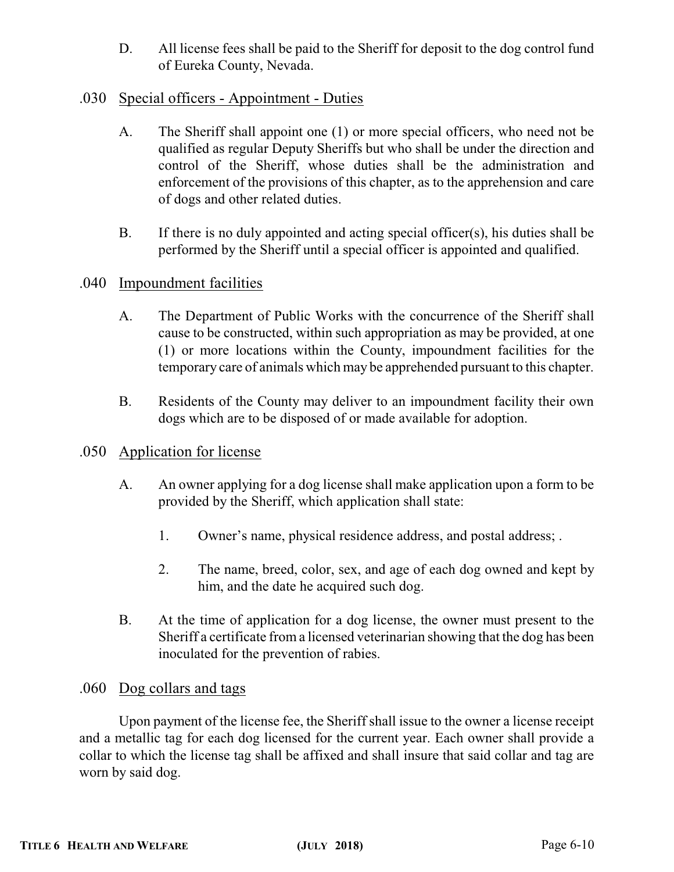D. All license fees shall be paid to the Sheriff for deposit to the dog control fund of Eureka County, Nevada.

# .030 Special officers - Appointment - Duties

- A. The Sheriff shall appoint one (1) or more special officers, who need not be qualified as regular Deputy Sheriffs but who shall be under the direction and control of the Sheriff, whose duties shall be the administration and enforcement of the provisions of this chapter, as to the apprehension and care of dogs and other related duties.
- B. If there is no duly appointed and acting special officer(s), his duties shall be performed by the Sheriff until a special officer is appointed and qualified.

# .040 Impoundment facilities

- A. The Department of Public Works with the concurrence of the Sheriff shall cause to be constructed, within such appropriation as may be provided, at one (1) or more locations within the County, impoundment facilities for the temporary care of animals which may be apprehended pursuant to this chapter.
- B. Residents of the County may deliver to an impoundment facility their own dogs which are to be disposed of or made available for adoption.

## .050 Application for license

- A. An owner applying for a dog license shall make application upon a form to be provided by the Sheriff, which application shall state:
	- 1. Owner's name, physical residence address, and postal address; .
	- 2. The name, breed, color, sex, and age of each dog owned and kept by him, and the date he acquired such dog.
- B. At the time of application for a dog license, the owner must present to the Sheriff a certificate from a licensed veterinarian showing that the dog has been inoculated for the prevention of rabies.

## .060 Dog collars and tags

Upon payment of the license fee, the Sheriff shall issue to the owner a license receipt and a metallic tag for each dog licensed for the current year. Each owner shall provide a collar to which the license tag shall be affixed and shall insure that said collar and tag are worn by said dog.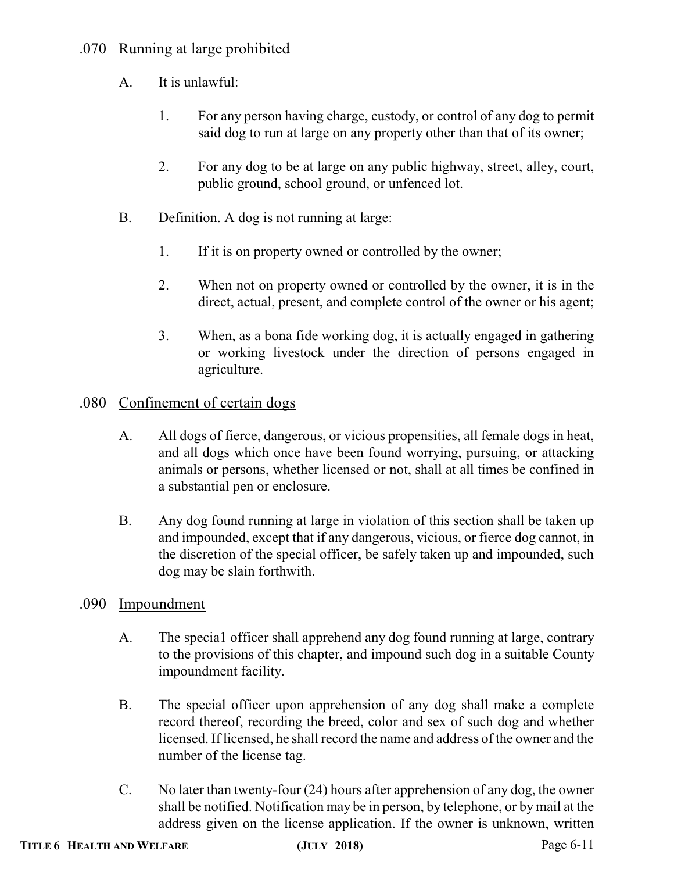# .070 Running at large prohibited

- A. It is unlawful:
	- 1. For any person having charge, custody, or control of any dog to permit said dog to run at large on any property other than that of its owner;
	- 2. For any dog to be at large on any public highway, street, alley, court, public ground, school ground, or unfenced lot.
- B. Definition. A dog is not running at large:
	- 1. If it is on property owned or controlled by the owner;
	- 2. When not on property owned or controlled by the owner, it is in the direct, actual, present, and complete control of the owner or his agent;
	- 3. When, as a bona fide working dog, it is actually engaged in gathering or working livestock under the direction of persons engaged in agriculture.

# .080 Confinement of certain dogs

- A. All dogs of fierce, dangerous, or vicious propensities, all female dogs in heat, and all dogs which once have been found worrying, pursuing, or attacking animals or persons, whether licensed or not, shall at all times be confined in a substantial pen or enclosure.
- B. Any dog found running at large in violation of this section shall be taken up and impounded, except that if any dangerous, vicious, or fierce dog cannot, in the discretion of the special officer, be safely taken up and impounded, such dog may be slain forthwith.

# .090 Impoundment

- A. The specia1 officer shall apprehend any dog found running at large, contrary to the provisions of this chapter, and impound such dog in a suitable County impoundment facility.
- B. The special officer upon apprehension of any dog shall make a complete record thereof, recording the breed, color and sex of such dog and whether licensed. If licensed, he shall record the name and address of the owner and the number of the license tag.
- C. No later than twenty-four (24) hours after apprehension of any dog, the owner shall be notified. Notification may be in person, by telephone, or by mail at the address given on the license application. If the owner is unknown, written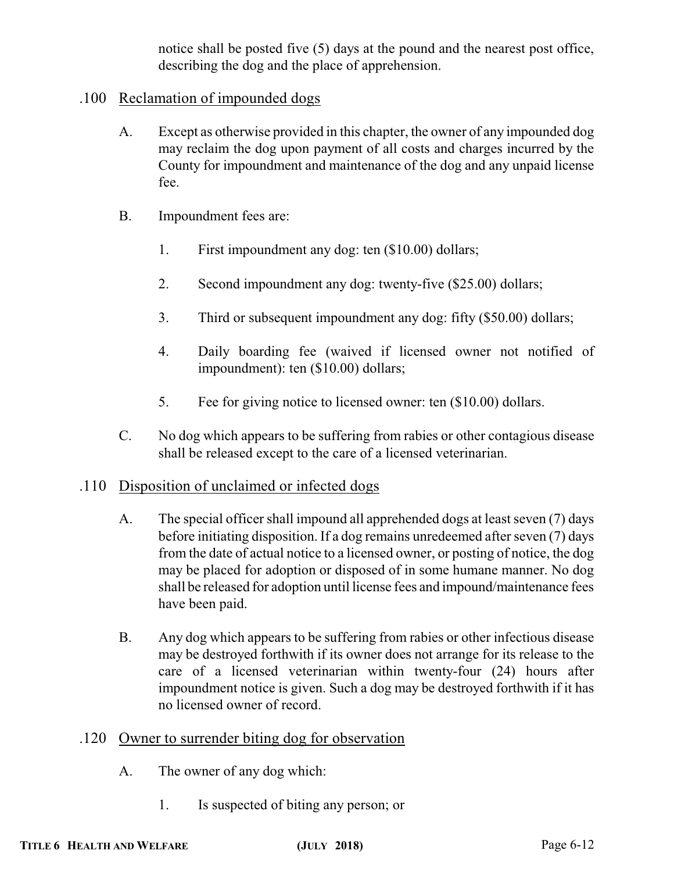notice shall be posted five (5) days at the pound and the nearest post office, describing the dog and the place of apprehension.

# .100 Reclamation of impounded dogs

- A. Except as otherwise provided in this chapter, the owner of any impounded dog may reclaim the dog upon payment of all costs and charges incurred by the County for impoundment and maintenance of the dog and any unpaid license fee.
- B. Impoundment fees are:
	- 1. First impoundment any dog: ten (\$10.00) dollars;
	- 2. Second impoundment any dog: twenty-five (\$25.00) dollars;
	- 3. Third or subsequent impoundment any dog: fifty (\$50.00) dollars;
	- 4. Daily boarding fee (waived if licensed owner not notified of impoundment): ten (\$10.00) dollars;
	- 5. Fee for giving notice to licensed owner: ten (\$10.00) dollars.
- C. No dog which appears to be suffering from rabies or other contagious disease shall be released except to the care of a licensed veterinarian.

# .110 Disposition of unclaimed or infected dogs

- A. The special officer shall impound all apprehended dogs at least seven (7) days before initiating disposition. If a dog remains unredeemed after seven (7) days from the date of actual notice to a licensed owner, or posting of notice, the dog may be placed for adoption or disposed of in some humane manner. No dog shall be released for adoption until license fees and impound/maintenance fees have been paid.
- B. Any dog which appears to be suffering from rabies or other infectious disease may be destroyed forthwith if its owner does not arrange for its release to the care of a licensed veterinarian within twenty-four (24) hours after impoundment notice is given. Such a dog may be destroyed forthwith if it has no licensed owner of record.
- .120 Owner to surrender biting dog for observation
	- A. The owner of any dog which:
		- 1. Is suspected of biting any person; or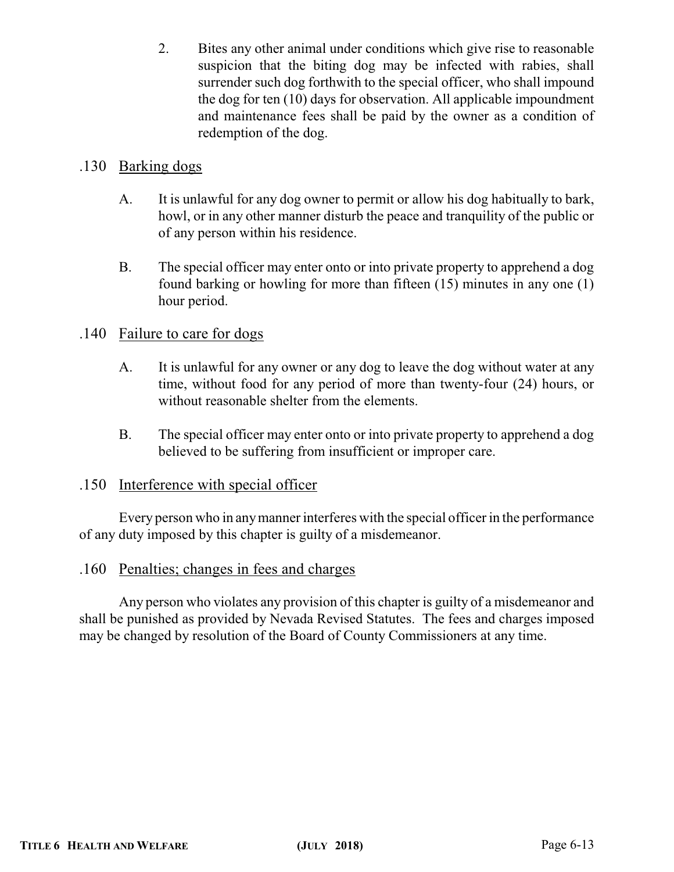2. Bites any other animal under conditions which give rise to reasonable suspicion that the biting dog may be infected with rabies, shall surrender such dog forthwith to the special officer, who shall impound the dog for ten (10) days for observation. All applicable impoundment and maintenance fees shall be paid by the owner as a condition of redemption of the dog.

# .130 Barking dogs

- A. It is unlawful for any dog owner to permit or allow his dog habitually to bark, howl, or in any other manner disturb the peace and tranquility of the public or of any person within his residence.
- B. The special officer may enter onto or into private property to apprehend a dog found barking or howling for more than fifteen (15) minutes in any one (1) hour period.

# .140 Failure to care for dogs

- A. It is unlawful for any owner or any dog to leave the dog without water at any time, without food for any period of more than twenty-four (24) hours, or without reasonable shelter from the elements.
- B. The special officer may enter onto or into private property to apprehend a dog believed to be suffering from insufficient or improper care.

## .150 Interference with special officer

Every person who in anymanner interferes with the special officer in the performance of any duty imposed by this chapter is guilty of a misdemeanor.

## .160 Penalties; changes in fees and charges

Any person who violates any provision of this chapter is guilty of a misdemeanor and shall be punished as provided by Nevada Revised Statutes. The fees and charges imposed may be changed by resolution of the Board of County Commissioners at any time.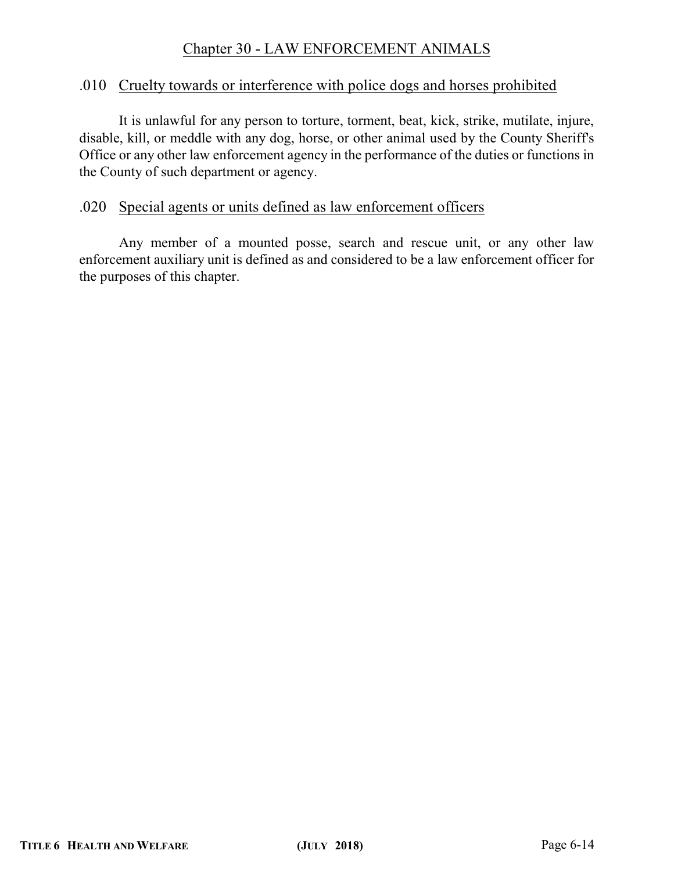# Chapter 30 - LAW ENFORCEMENT ANIMALS

#### .010 Cruelty towards or interference with police dogs and horses prohibited

It is unlawful for any person to torture, torment, beat, kick, strike, mutilate, injure, disable, kill, or meddle with any dog, horse, or other animal used by the County Sheriff's Office or any other law enforcement agency in the performance of the duties or functions in the County of such department or agency.

### .020 Special agents or units defined as law enforcement officers

Any member of a mounted posse, search and rescue unit, or any other law enforcement auxiliary unit is defined as and considered to be a law enforcement officer for the purposes of this chapter.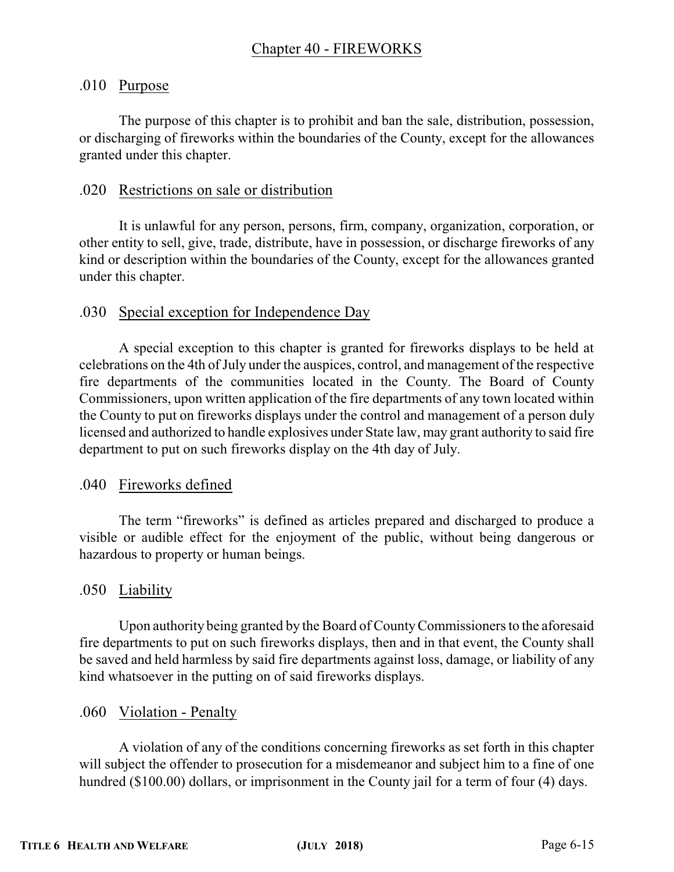# .010 Purpose

The purpose of this chapter is to prohibit and ban the sale, distribution, possession, or discharging of fireworks within the boundaries of the County, except for the allowances granted under this chapter.

# .020 Restrictions on sale or distribution

It is unlawful for any person, persons, firm, company, organization, corporation, or other entity to sell, give, trade, distribute, have in possession, or discharge fireworks of any kind or description within the boundaries of the County, except for the allowances granted under this chapter.

# .030 Special exception for Independence Day

A special exception to this chapter is granted for fireworks displays to be held at celebrations on the 4th of July under the auspices, control, and management of the respective fire departments of the communities located in the County. The Board of County Commissioners, upon written application of the fire departments of any town located within the County to put on fireworks displays under the control and management of a person duly licensed and authorized to handle explosives under State law, may grant authority to said fire department to put on such fireworks display on the 4th day of July.

## .040 Fireworks defined

The term "fireworks" is defined as articles prepared and discharged to produce a visible or audible effect for the enjoyment of the public, without being dangerous or hazardous to property or human beings.

# .050 Liability

Upon authority being granted by the Board of CountyCommissioners to the aforesaid fire departments to put on such fireworks displays, then and in that event, the County shall be saved and held harmless by said fire departments against loss, damage, or liability of any kind whatsoever in the putting on of said fireworks displays.

## .060 Violation - Penalty

A violation of any of the conditions concerning fireworks as set forth in this chapter will subject the offender to prosecution for a misdemeanor and subject him to a fine of one hundred (\$100.00) dollars, or imprisonment in the County jail for a term of four (4) days.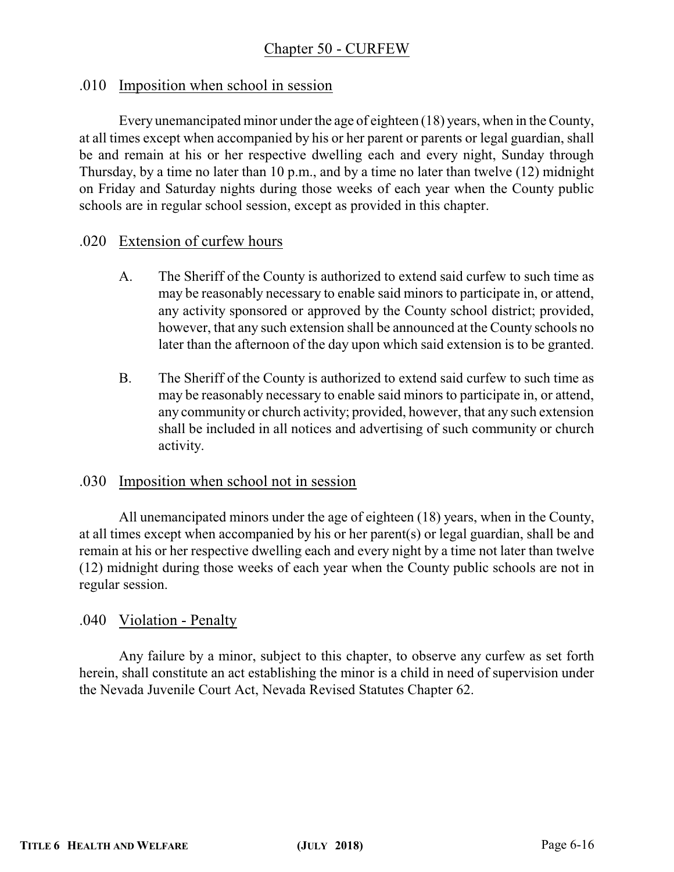# .010 Imposition when school in session

Every unemancipated minor under the age of eighteen (18) years, when in the County, at all times except when accompanied by his or her parent or parents or legal guardian, shall be and remain at his or her respective dwelling each and every night, Sunday through Thursday, by a time no later than 10 p.m., and by a time no later than twelve (12) midnight on Friday and Saturday nights during those weeks of each year when the County public schools are in regular school session, except as provided in this chapter.

## .020 Extension of curfew hours

- A. The Sheriff of the County is authorized to extend said curfew to such time as may be reasonably necessary to enable said minors to participate in, or attend, any activity sponsored or approved by the County school district; provided, however, that any such extension shall be announced at the County schools no later than the afternoon of the day upon which said extension is to be granted.
- B. The Sheriff of the County is authorized to extend said curfew to such time as may be reasonably necessary to enable said minors to participate in, or attend, any community or church activity; provided, however, that any such extension shall be included in all notices and advertising of such community or church activity.

## .030 Imposition when school not in session

All unemancipated minors under the age of eighteen (18) years, when in the County, at all times except when accompanied by his or her parent(s) or legal guardian, shall be and remain at his or her respective dwelling each and every night by a time not later than twelve (12) midnight during those weeks of each year when the County public schools are not in regular session.

# .040 Violation - Penalty

Any failure by a minor, subject to this chapter, to observe any curfew as set forth herein, shall constitute an act establishing the minor is a child in need of supervision under the Nevada Juvenile Court Act, Nevada Revised Statutes Chapter 62.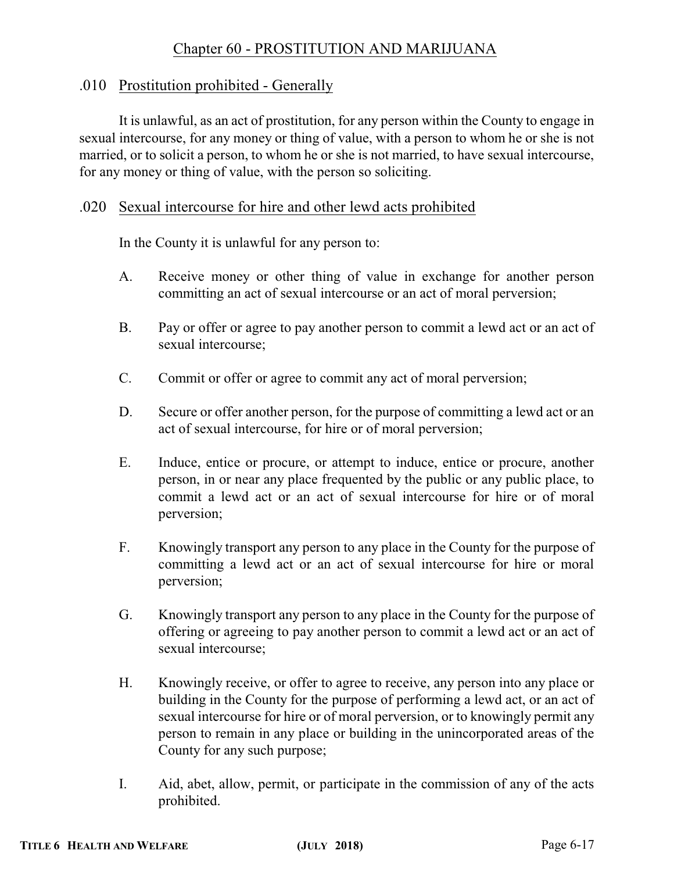# Chapter 60 - PROSTITUTION AND MARIJUANA

## .010 Prostitution prohibited - Generally

It is unlawful, as an act of prostitution, for any person within the County to engage in sexual intercourse, for any money or thing of value, with a person to whom he or she is not married, or to solicit a person, to whom he or she is not married, to have sexual intercourse, for any money or thing of value, with the person so soliciting.

## .020 Sexual intercourse for hire and other lewd acts prohibited

In the County it is unlawful for any person to:

- A. Receive money or other thing of value in exchange for another person committing an act of sexual intercourse or an act of moral perversion;
- B. Pay or offer or agree to pay another person to commit a lewd act or an act of sexual intercourse;
- C. Commit or offer or agree to commit any act of moral perversion;
- D. Secure or offer another person, for the purpose of committing a lewd act or an act of sexual intercourse, for hire or of moral perversion;
- E. Induce, entice or procure, or attempt to induce, entice or procure, another person, in or near any place frequented by the public or any public place, to commit a lewd act or an act of sexual intercourse for hire or of moral perversion;
- F. Knowingly transport any person to any place in the County for the purpose of committing a lewd act or an act of sexual intercourse for hire or moral perversion;
- G. Knowingly transport any person to any place in the County for the purpose of offering or agreeing to pay another person to commit a lewd act or an act of sexual intercourse;
- H. Knowingly receive, or offer to agree to receive, any person into any place or building in the County for the purpose of performing a lewd act, or an act of sexual intercourse for hire or of moral perversion, or to knowingly permit any person to remain in any place or building in the unincorporated areas of the County for any such purpose;
- I. Aid, abet, allow, permit, or participate in the commission of any of the acts prohibited.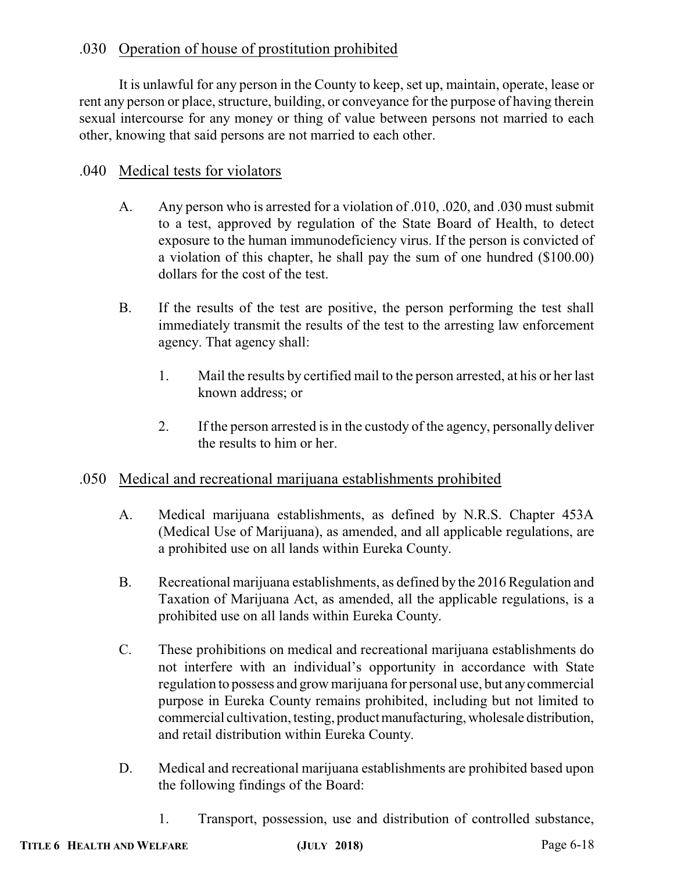# .030 Operation of house of prostitution prohibited

It is unlawful for any person in the County to keep, set up, maintain, operate, lease or rent any person or place, structure, building, or conveyance for the purpose of having therein sexual intercourse for any money or thing of value between persons not married to each other, knowing that said persons are not married to each other.

# .040 Medical tests for violators

- A. Any person who is arrested for a violation of .010, .020, and .030 must submit to a test, approved by regulation of the State Board of Health, to detect exposure to the human immunodeficiency virus. If the person is convicted of a violation of this chapter, he shall pay the sum of one hundred (\$100.00) dollars for the cost of the test.
- B. If the results of the test are positive, the person performing the test shall immediately transmit the results of the test to the arresting law enforcement agency. That agency shall:
	- 1. Mail the results by certified mail to the person arrested, at his or her last known address; or
	- 2. If the person arrested is in the custody of the agency, personally deliver the results to him or her.

# .050 Medical and recreational marijuana establishments prohibited

- A. Medical marijuana establishments, as defined by N.R.S. Chapter 453A (Medical Use of Marijuana), as amended, and all applicable regulations, are a prohibited use on all lands within Eureka County.
- B. Recreational marijuana establishments, as defined by the 2016 Regulation and Taxation of Marijuana Act, as amended, all the applicable regulations, is a prohibited use on all lands within Eureka County.
- C. These prohibitions on medical and recreational marijuana establishments do not interfere with an individual's opportunity in accordance with State regulation to possess and grow marijuana for personal use, but anycommercial purpose in Eureka County remains prohibited, including but not limited to commercial cultivation, testing, product manufacturing, wholesale distribution, and retail distribution within Eureka County.
- D. Medical and recreational marijuana establishments are prohibited based upon the following findings of the Board:
	- 1. Transport, possession, use and distribution of controlled substance,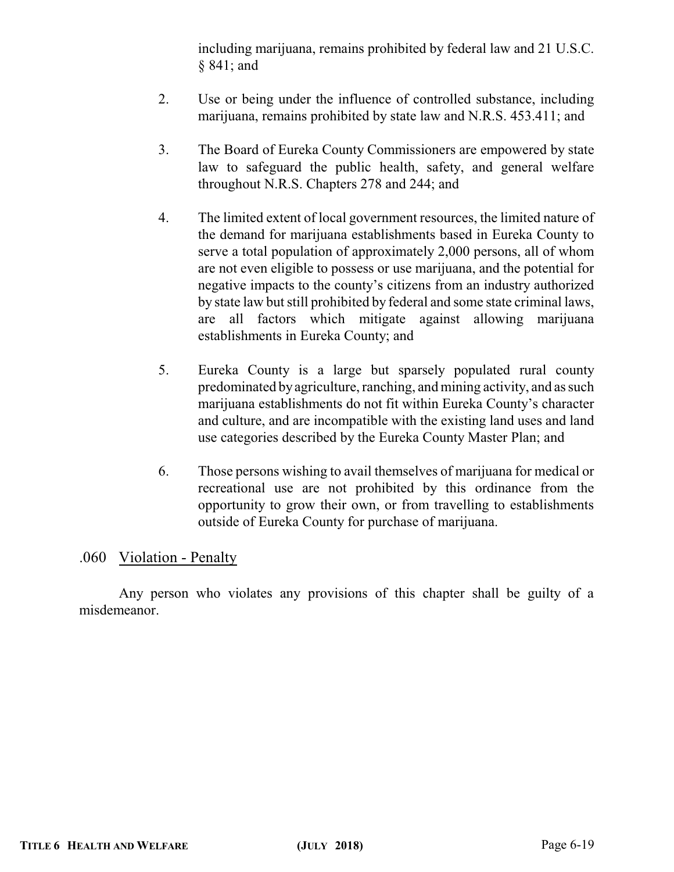including marijuana, remains prohibited by federal law and 21 U.S.C. § 841; and

- 2. Use or being under the influence of controlled substance, including marijuana, remains prohibited by state law and N.R.S. 453.411; and
- 3. The Board of Eureka County Commissioners are empowered by state law to safeguard the public health, safety, and general welfare throughout N.R.S. Chapters 278 and 244; and
- 4. The limited extent of local government resources, the limited nature of the demand for marijuana establishments based in Eureka County to serve a total population of approximately 2,000 persons, all of whom are not even eligible to possess or use marijuana, and the potential for negative impacts to the county's citizens from an industry authorized by state law but still prohibited by federal and some state criminal laws, are all factors which mitigate against allowing marijuana establishments in Eureka County; and
- 5. Eureka County is a large but sparsely populated rural county predominated byagriculture, ranching, and mining activity, and as such marijuana establishments do not fit within Eureka County's character and culture, and are incompatible with the existing land uses and land use categories described by the Eureka County Master Plan; and
- 6. Those persons wishing to avail themselves of marijuana for medical or recreational use are not prohibited by this ordinance from the opportunity to grow their own, or from travelling to establishments outside of Eureka County for purchase of marijuana.

#### .060 Violation - Penalty

Any person who violates any provisions of this chapter shall be guilty of a misdemeanor.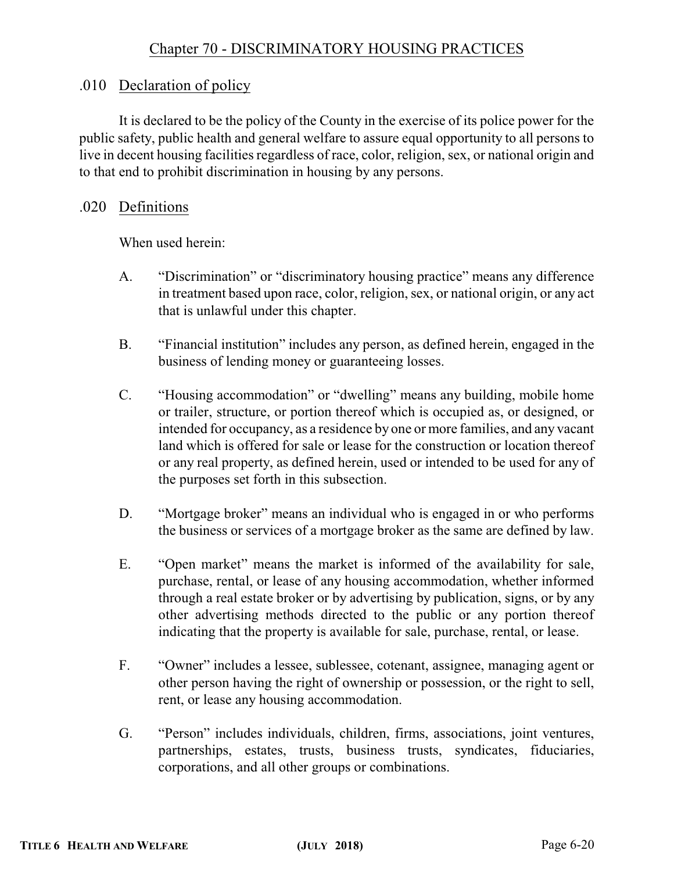# .010 Declaration of policy

It is declared to be the policy of the County in the exercise of its police power for the public safety, public health and general welfare to assure equal opportunity to all persons to live in decent housing facilities regardless of race, color, religion, sex, or national origin and to that end to prohibit discrimination in housing by any persons.

# .020 Definitions

When used herein:

- A. "Discrimination" or "discriminatory housing practice" means any difference in treatment based upon race, color, religion, sex, or national origin, or any act that is unlawful under this chapter.
- B. "Financial institution" includes any person, as defined herein, engaged in the business of lending money or guaranteeing losses.
- C. "Housing accommodation" or "dwelling" means any building, mobile home or trailer, structure, or portion thereof which is occupied as, or designed, or intended for occupancy, as a residence by one or more families, and any vacant land which is offered for sale or lease for the construction or location thereof or any real property, as defined herein, used or intended to be used for any of the purposes set forth in this subsection.
- D. "Mortgage broker" means an individual who is engaged in or who performs the business or services of a mortgage broker as the same are defined by law.
- E. "Open market" means the market is informed of the availability for sale, purchase, rental, or lease of any housing accommodation, whether informed through a real estate broker or by advertising by publication, signs, or by any other advertising methods directed to the public or any portion thereof indicating that the property is available for sale, purchase, rental, or lease.
- F. "Owner" includes a lessee, sublessee, cotenant, assignee, managing agent or other person having the right of ownership or possession, or the right to sell, rent, or lease any housing accommodation.
- G. "Person" includes individuals, children, firms, associations, joint ventures, partnerships, estates, trusts, business trusts, syndicates, fiduciaries, corporations, and all other groups or combinations.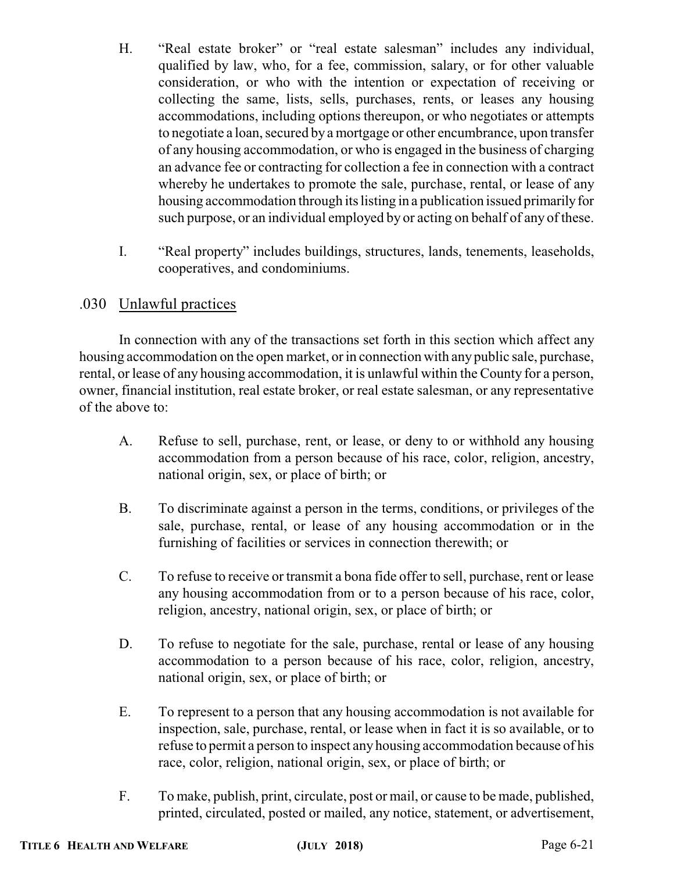- H. "Real estate broker" or "real estate salesman" includes any individual, qualified by law, who, for a fee, commission, salary, or for other valuable consideration, or who with the intention or expectation of receiving or collecting the same, lists, sells, purchases, rents, or leases any housing accommodations, including options thereupon, or who negotiates or attempts to negotiate a loan, secured by a mortgage or other encumbrance, upon transfer of any housing accommodation, or who is engaged in the business of charging an advance fee or contracting for collection a fee in connection with a contract whereby he undertakes to promote the sale, purchase, rental, or lease of any housing accommodation through its listing in a publication issued primarily for such purpose, or an individual employed by or acting on behalf of any of these.
- I. "Real property" includes buildings, structures, lands, tenements, leaseholds, cooperatives, and condominiums.

# .030 Unlawful practices

In connection with any of the transactions set forth in this section which affect any housing accommodation on the open market, or in connection with any public sale, purchase, rental, or lease of any housing accommodation, it is unlawful within the County for a person, owner, financial institution, real estate broker, or real estate salesman, or any representative of the above to:

- A. Refuse to sell, purchase, rent, or lease, or deny to or withhold any housing accommodation from a person because of his race, color, religion, ancestry, national origin, sex, or place of birth; or
- B. To discriminate against a person in the terms, conditions, or privileges of the sale, purchase, rental, or lease of any housing accommodation or in the furnishing of facilities or services in connection therewith; or
- C. To refuse to receive or transmit a bona fide offer to sell, purchase, rent or lease any housing accommodation from or to a person because of his race, color, religion, ancestry, national origin, sex, or place of birth; or
- D. To refuse to negotiate for the sale, purchase, rental or lease of any housing accommodation to a person because of his race, color, religion, ancestry, national origin, sex, or place of birth; or
- E. To represent to a person that any housing accommodation is not available for inspection, sale, purchase, rental, or lease when in fact it is so available, or to refuse to permit a person to inspect any housing accommodation because of his race, color, religion, national origin, sex, or place of birth; or
- F. To make, publish, print, circulate, post or mail, or cause to be made, published, printed, circulated, posted or mailed, any notice, statement, or advertisement,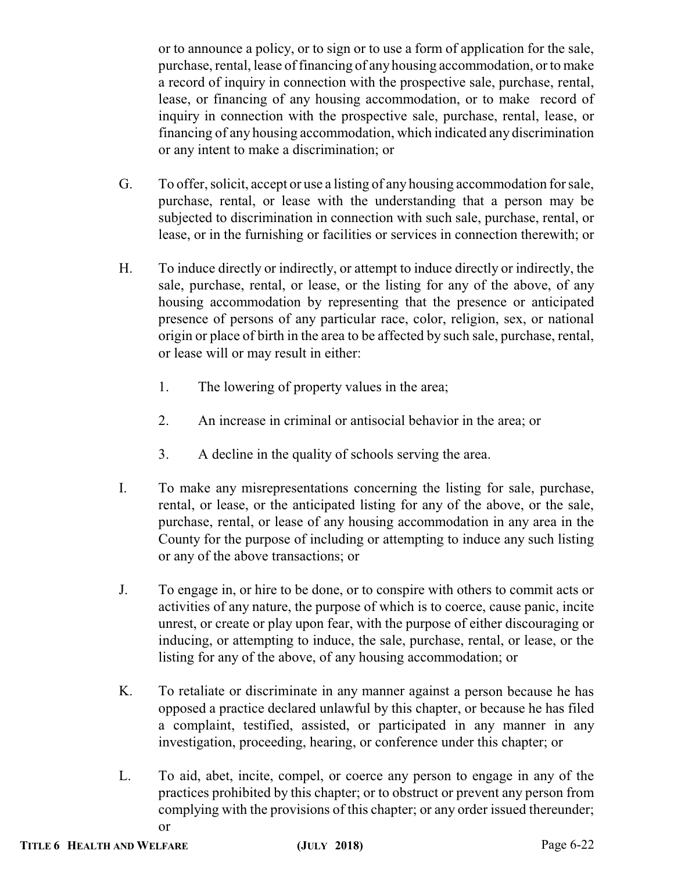or to announce a policy, or to sign or to use a form of application for the sale, purchase, rental, lease of financing of any housing accommodation, or to make a record of inquiry in connection with the prospective sale, purchase, rental, lease, or financing of any housing accommodation, or to make record of inquiry in connection with the prospective sale, purchase, rental, lease, or financing of any housing accommodation, which indicated any discrimination or any intent to make a discrimination; or

- G. To offer, solicit, accept or use a listing of any housing accommodation for sale, purchase, rental, or lease with the understanding that a person may be subjected to discrimination in connection with such sale, purchase, rental, or lease, or in the furnishing or facilities or services in connection therewith; or
- H. To induce directly or indirectly, or attempt to induce directly or indirectly, the sale, purchase, rental, or lease, or the listing for any of the above, of any housing accommodation by representing that the presence or anticipated presence of persons of any particular race, color, religion, sex, or national origin or place of birth in the area to be affected by such sale, purchase, rental, or lease will or may result in either:
	- 1. The lowering of property values in the area;
	- 2. An increase in criminal or antisocial behavior in the area; or
	- 3. A decline in the quality of schools serving the area.
- I. To make any misrepresentations concerning the listing for sale, purchase, rental, or lease, or the anticipated listing for any of the above, or the sale, purchase, rental, or lease of any housing accommodation in any area in the County for the purpose of including or attempting to induce any such listing or any of the above transactions; or
- J. To engage in, or hire to be done, or to conspire with others to commit acts or activities of any nature, the purpose of which is to coerce, cause panic, incite unrest, or create or play upon fear, with the purpose of either discouraging or inducing, or attempting to induce, the sale, purchase, rental, or lease, or the listing for any of the above, of any housing accommodation; or
- K. To retaliate or discriminate in any manner against a person because he has opposed a practice declared unlawful by this chapter, or because he has filed a complaint, testified, assisted, or participated in any manner in any investigation, proceeding, hearing, or conference under this chapter; or
- L. To aid, abet, incite, compel, or coerce any person to engage in any of the practices prohibited by this chapter; or to obstruct or prevent any person from complying with the provisions of this chapter; or any order issued thereunder; or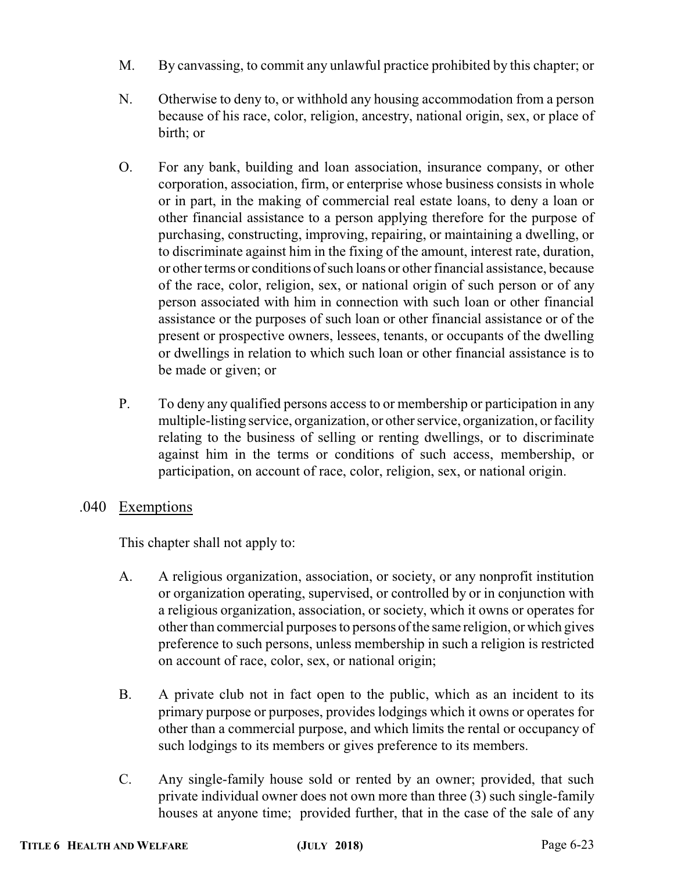- M. By canvassing, to commit any unlawful practice prohibited by this chapter; or
- N. Otherwise to deny to, or withhold any housing accommodation from a person because of his race, color, religion, ancestry, national origin, sex, or place of birth; or
- O. For any bank, building and loan association, insurance company, or other corporation, association, firm, or enterprise whose business consists in whole or in part, in the making of commercial real estate loans, to deny a loan or other financial assistance to a person applying therefore for the purpose of purchasing, constructing, improving, repairing, or maintaining a dwelling, or to discriminate against him in the fixing of the amount, interest rate, duration, or other terms or conditions of such loans or other financial assistance, because of the race, color, religion, sex, or national origin of such person or of any person associated with him in connection with such loan or other financial assistance or the purposes of such loan or other financial assistance or of the present or prospective owners, lessees, tenants, or occupants of the dwelling or dwellings in relation to which such loan or other financial assistance is to be made or given; or
- P. To deny any qualified persons access to or membership or participation in any multiple-listing service, organization, or other service, organization, or facility relating to the business of selling or renting dwellings, or to discriminate against him in the terms or conditions of such access, membership, or participation, on account of race, color, religion, sex, or national origin.
- .040 Exemptions

This chapter shall not apply to:

- A. A religious organization, association, or society, or any nonprofit institution or organization operating, supervised, or controlled by or in conjunction with a religious organization, association, or society, which it owns or operates for other than commercial purposes to persons ofthe same religion, or which gives preference to such persons, unless membership in such a religion is restricted on account of race, color, sex, or national origin;
- B. A private club not in fact open to the public, which as an incident to its primary purpose or purposes, provides lodgings which it owns or operates for other than a commercial purpose, and which limits the rental or occupancy of such lodgings to its members or gives preference to its members.
- C. Any single-family house sold or rented by an owner; provided, that such private individual owner does not own more than three (3) such single-family houses at anyone time; provided further, that in the case of the sale of any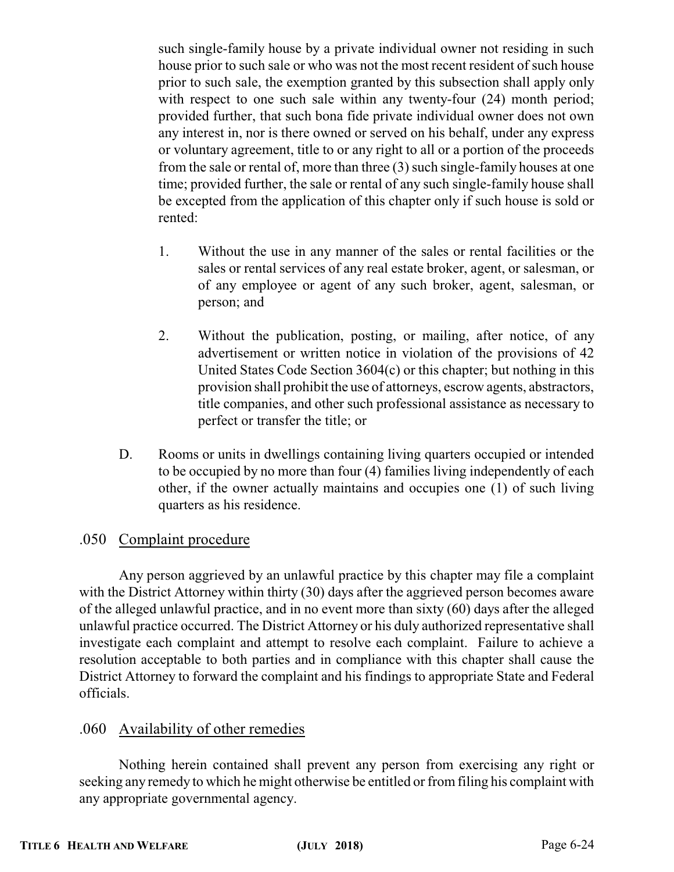such single-family house by a private individual owner not residing in such house prior to such sale or who was not the most recent resident of such house prior to such sale, the exemption granted by this subsection shall apply only with respect to one such sale within any twenty-four  $(24)$  month period; provided further, that such bona fide private individual owner does not own any interest in, nor is there owned or served on his behalf, under any express or voluntary agreement, title to or any right to all or a portion of the proceeds from the sale or rental of, more than three (3) such single-family houses at one time; provided further, the sale or rental of any such single-family house shall be excepted from the application of this chapter only if such house is sold or rented:

- 1. Without the use in any manner of the sales or rental facilities or the sales or rental services of any real estate broker, agent, or salesman, or of any employee or agent of any such broker, agent, salesman, or person; and
- 2. Without the publication, posting, or mailing, after notice, of any advertisement or written notice in violation of the provisions of 42 United States Code Section 3604(c) or this chapter; but nothing in this provision shall prohibit the use of attorneys, escrow agents, abstractors, title companies, and other such professional assistance as necessary to perfect or transfer the title; or
- D. Rooms or units in dwellings containing living quarters occupied or intended to be occupied by no more than four (4) families living independently of each other, if the owner actually maintains and occupies one (1) of such living quarters as his residence.

## .050 Complaint procedure

Any person aggrieved by an unlawful practice by this chapter may file a complaint with the District Attorney within thirty (30) days after the aggrieved person becomes aware of the alleged unlawful practice, and in no event more than sixty (60) days after the alleged unlawful practice occurred. The District Attorney or his duly authorized representative shall investigate each complaint and attempt to resolve each complaint. Failure to achieve a resolution acceptable to both parties and in compliance with this chapter shall cause the District Attorney to forward the complaint and his findings to appropriate State and Federal officials.

## .060 Availability of other remedies

Nothing herein contained shall prevent any person from exercising any right or seeking any remedy to which he might otherwise be entitled or fromfiling his complaint with any appropriate governmental agency.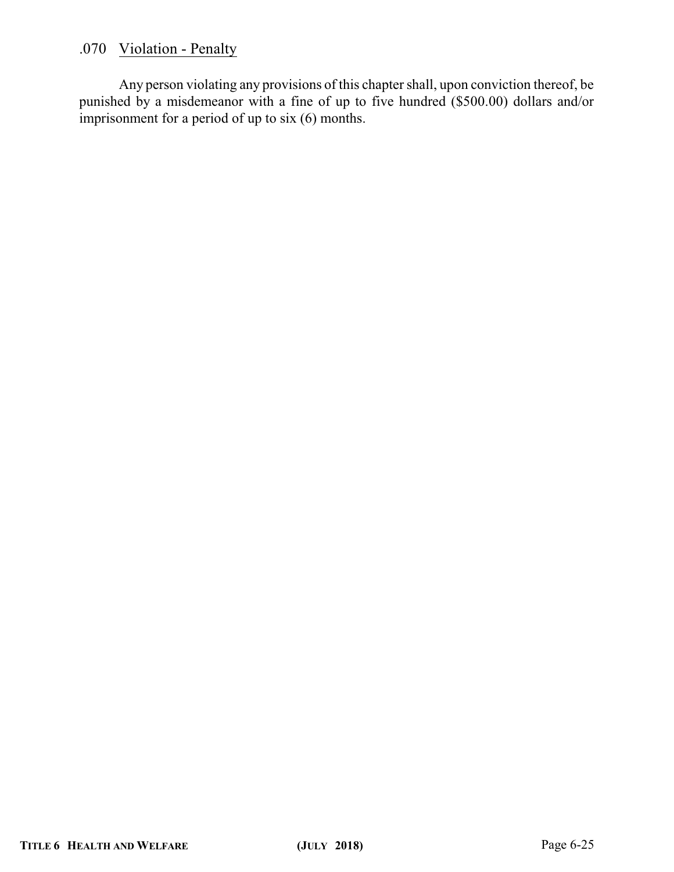# .070 Violation - Penalty

Any person violating any provisions of this chapter shall, upon conviction thereof, be punished by a misdemeanor with a fine of up to five hundred (\$500.00) dollars and/or imprisonment for a period of up to six (6) months.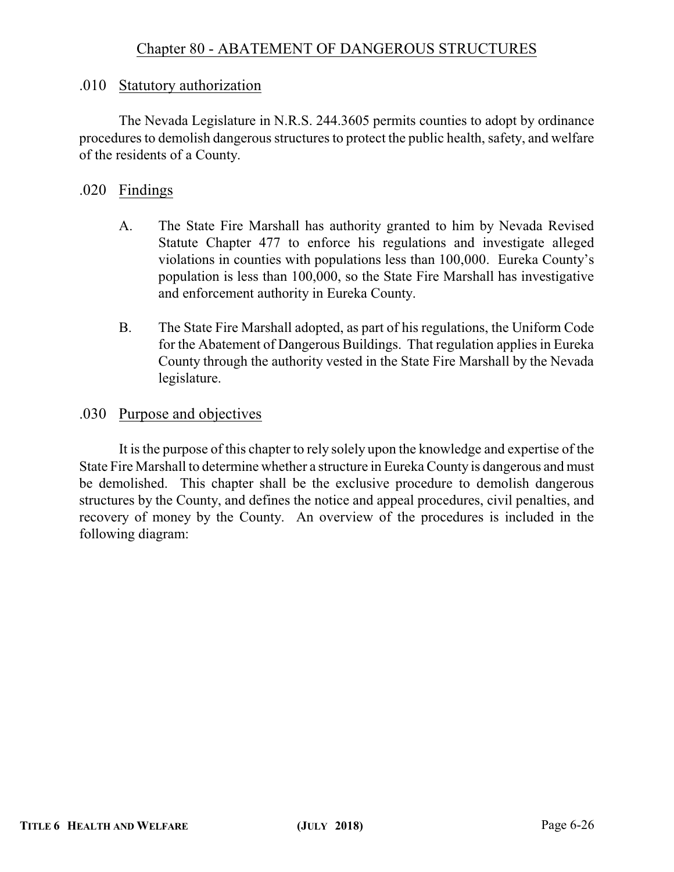## .010 Statutory authorization

The Nevada Legislature in N.R.S. 244.3605 permits counties to adopt by ordinance procedures to demolish dangerous structures to protect the public health, safety, and welfare of the residents of a County.

## .020 Findings

- A. The State Fire Marshall has authority granted to him by Nevada Revised Statute Chapter 477 to enforce his regulations and investigate alleged violations in counties with populations less than 100,000. Eureka County's population is less than 100,000, so the State Fire Marshall has investigative and enforcement authority in Eureka County.
- B. The State Fire Marshall adopted, as part of his regulations, the Uniform Code for the Abatement of Dangerous Buildings. That regulation applies in Eureka County through the authority vested in the State Fire Marshall by the Nevada legislature.

### .030 Purpose and objectives

It is the purpose of this chapter to rely solely upon the knowledge and expertise of the State Fire Marshall to determine whether a structure in Eureka County is dangerous and must be demolished. This chapter shall be the exclusive procedure to demolish dangerous structures by the County, and defines the notice and appeal procedures, civil penalties, and recovery of money by the County. An overview of the procedures is included in the following diagram: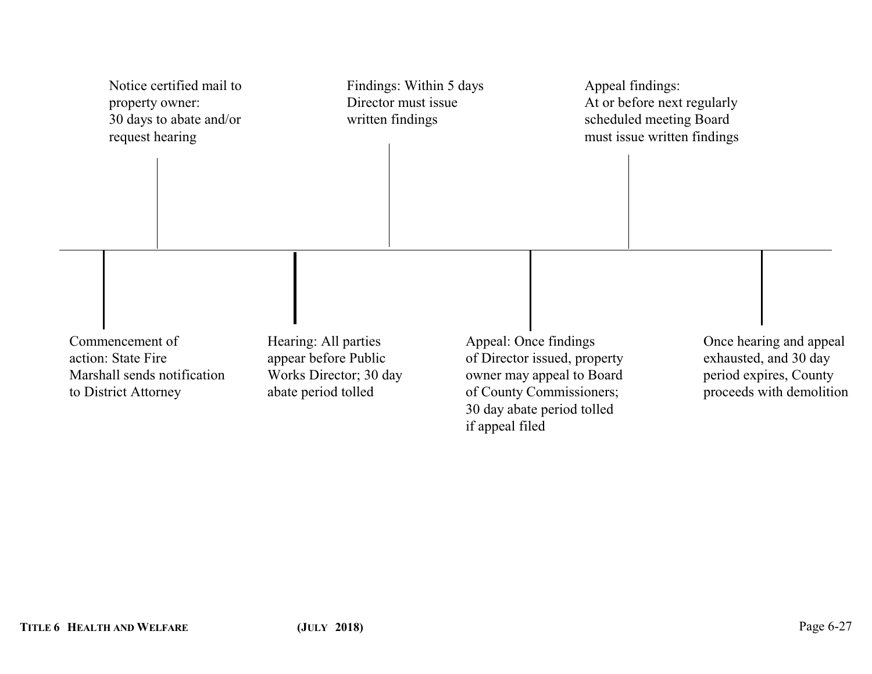| Notice certified mail to<br>property owner:<br>30 days to abate and/or<br>request hearing    | Findings: Within 5 days<br>Director must issue<br>written findings                            | Appeal findings:<br>At or before next regularly<br>scheduled meeting Board<br>must issue written findings                                                       |                                                                                                        |
|----------------------------------------------------------------------------------------------|-----------------------------------------------------------------------------------------------|-----------------------------------------------------------------------------------------------------------------------------------------------------------------|--------------------------------------------------------------------------------------------------------|
| Commencement of<br>action: State Fire<br>Marshall sends notification<br>to District Attorney | Hearing: All parties<br>appear before Public<br>Works Director; 30 day<br>abate period tolled | Appeal: Once findings<br>of Director issued, property<br>owner may appeal to Board<br>of County Commissioners;<br>30 day abate period tolled<br>if appeal filed | Once hearing and appeal<br>exhausted, and 30 day<br>period expires, County<br>proceeds with demolition |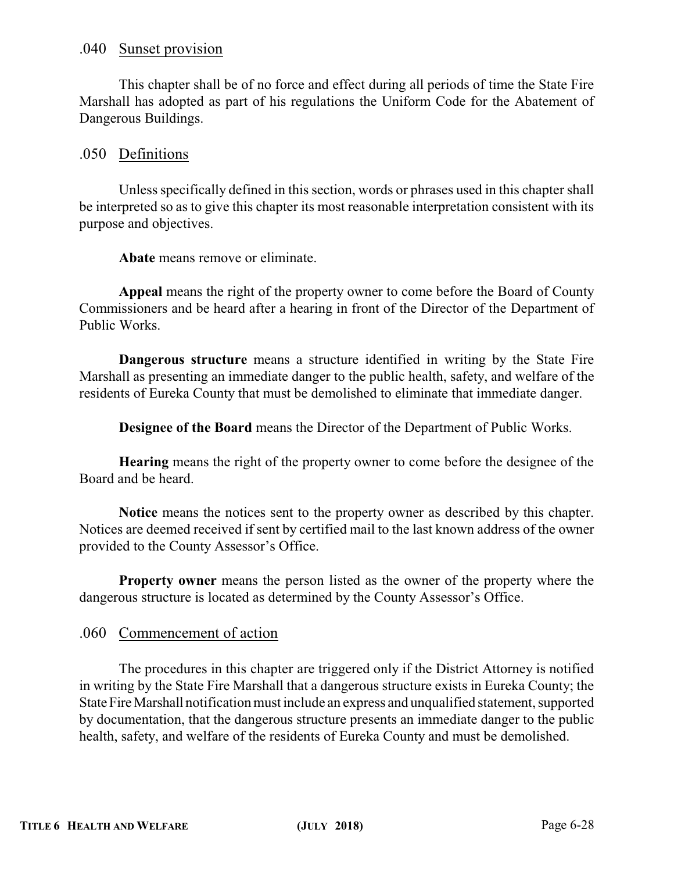#### .040 Sunset provision

This chapter shall be of no force and effect during all periods of time the State Fire Marshall has adopted as part of his regulations the Uniform Code for the Abatement of Dangerous Buildings.

## .050 Definitions

Unless specifically defined in this section, words or phrases used in this chapter shall be interpreted so as to give this chapter its most reasonable interpretation consistent with its purpose and objectives.

**Abate** means remove or eliminate.

**Appeal** means the right of the property owner to come before the Board of County Commissioners and be heard after a hearing in front of the Director of the Department of Public Works.

**Dangerous structure** means a structure identified in writing by the State Fire Marshall as presenting an immediate danger to the public health, safety, and welfare of the residents of Eureka County that must be demolished to eliminate that immediate danger.

**Designee of the Board** means the Director of the Department of Public Works.

**Hearing** means the right of the property owner to come before the designee of the Board and be heard.

**Notice** means the notices sent to the property owner as described by this chapter. Notices are deemed received if sent by certified mail to the last known address of the owner provided to the County Assessor's Office.

**Property owner** means the person listed as the owner of the property where the dangerous structure is located as determined by the County Assessor's Office.

#### .060 Commencement of action

The procedures in this chapter are triggered only if the District Attorney is notified in writing by the State Fire Marshall that a dangerous structure exists in Eureka County; the State Fire Marshall notification must include an express and unqualified statement, supported by documentation, that the dangerous structure presents an immediate danger to the public health, safety, and welfare of the residents of Eureka County and must be demolished.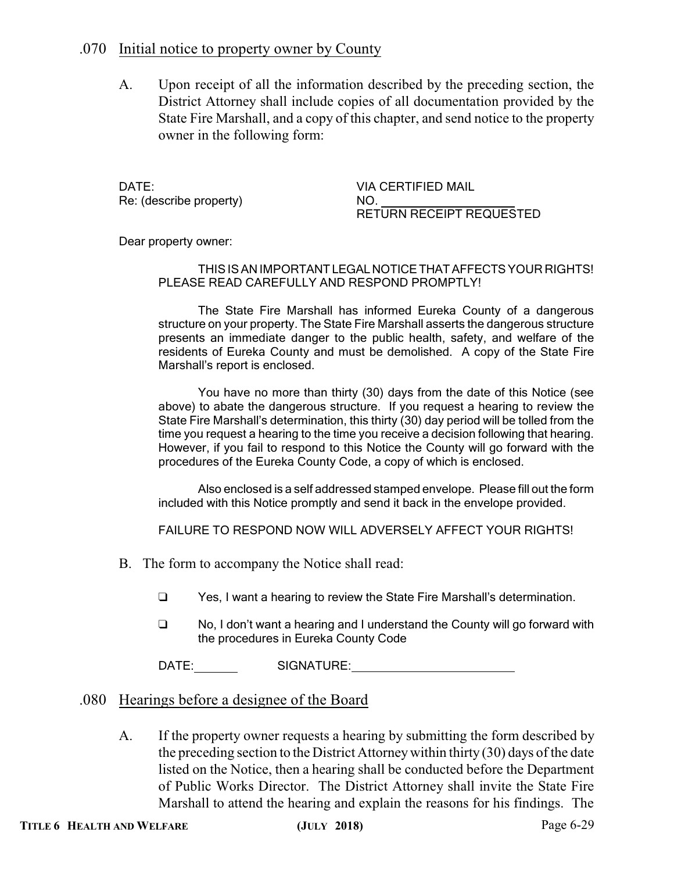## .070 Initial notice to property owner by County

A. Upon receipt of all the information described by the preceding section, the District Attorney shall include copies of all documentation provided by the State Fire Marshall, and a copy of this chapter, and send notice to the property owner in the following form:

DATE: VIA CERTIFIED MAIL Re: (describe property) NO.

RETURN RECEIPT REQUESTED

Dear property owner:

#### THIS IS AN IMPORTANTLEGALNOTICETHATAFFECTS YOUR RIGHTS! PLEASE READ CAREFULLY AND RESPOND PROMPTLY!

The State Fire Marshall has informed Eureka County of a dangerous structure on your property. The State Fire Marshall asserts the dangerous structure presents an immediate danger to the public health, safety, and welfare of the residents of Eureka County and must be demolished. A copy of the State Fire Marshall's report is enclosed.

You have no more than thirty (30) days from the date of this Notice (see above) to abate the dangerous structure. If you request a hearing to review the State Fire Marshall's determination, this thirty (30) day period will be tolled from the time you request a hearing to the time you receive a decision following that hearing. However, if you fail to respond to this Notice the County will go forward with the procedures of the Eureka County Code, a copy of which is enclosed.

Also enclosed is a self addressed stamped envelope. Please fill out the form included with this Notice promptly and send it back in the envelope provided.

FAILURE TO RESPOND NOW WILL ADVERSELY AFFECT YOUR RIGHTS!

- B. The form to accompany the Notice shall read:
	- □ Yes, I want a hearing to review the State Fire Marshall's determination.
	- $\Box$  No, I don't want a hearing and I understand the County will go forward with the procedures in Eureka County Code

DATE: SIGNATURE:

#### .080 Hearings before a designee of the Board

A. If the property owner requests a hearing by submitting the form described by the preceding section to the District Attorneywithin thirty (30) days of the date listed on the Notice, then a hearing shall be conducted before the Department of Public Works Director. The District Attorney shall invite the State Fire Marshall to attend the hearing and explain the reasons for his findings. The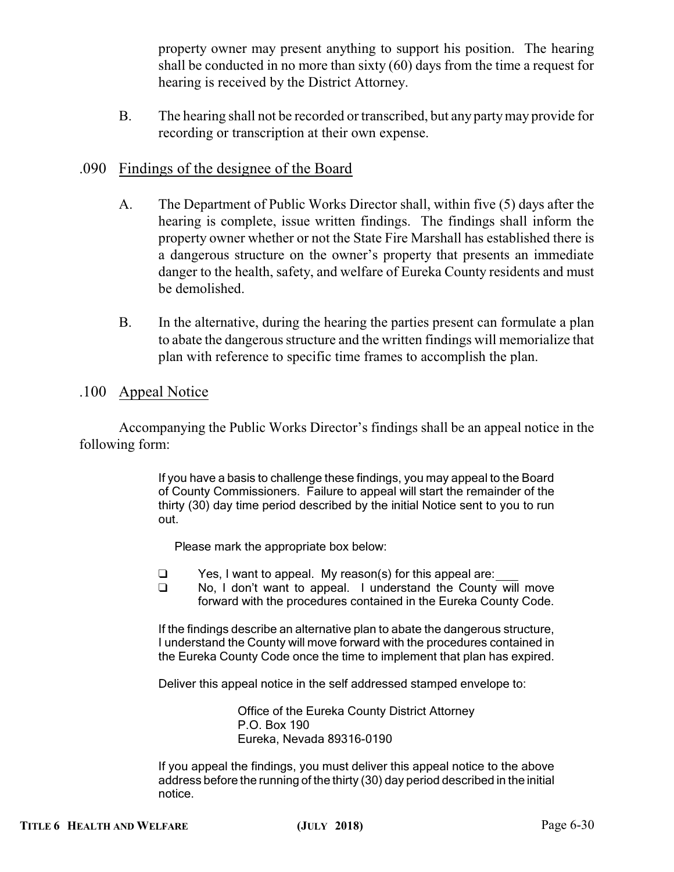property owner may present anything to support his position. The hearing shall be conducted in no more than sixty (60) days from the time a request for hearing is received by the District Attorney.

B. The hearing shall not be recorded or transcribed, but any partymay provide for recording or transcription at their own expense.

## .090 Findings of the designee of the Board

- A. The Department of Public Works Director shall, within five (5) days after the hearing is complete, issue written findings. The findings shall inform the property owner whether or not the State Fire Marshall has established there is a dangerous structure on the owner's property that presents an immediate danger to the health, safety, and welfare of Eureka County residents and must be demolished.
- B. In the alternative, during the hearing the parties present can formulate a plan to abate the dangerous structure and the written findings will memorialize that plan with reference to specific time frames to accomplish the plan.

#### .100 Appeal Notice

Accompanying the Public Works Director's findings shall be an appeal notice in the following form:

> If you have a basis to challenge these findings, you may appeal to the Board of County Commissioners. Failure to appeal will start the remainder of the thirty (30) day time period described by the initial Notice sent to you to run out.

Please mark the appropriate box below:

- $\Box$  Yes, I want to appeal. My reason(s) for this appeal are:
- $\Box$  No, I don't want to appeal. I understand the County will move forward with the procedures contained in the Eureka County Code.

If the findings describe an alternative plan to abate the dangerous structure, I understand the County will move forward with the procedures contained in the Eureka County Code once the time to implement that plan has expired.

Deliver this appeal notice in the self addressed stamped envelope to:

Office of the Eureka County District Attorney P.O. Box 190 Eureka, Nevada 89316-0190

If you appeal the findings, you must deliver this appeal notice to the above address before the running of the thirty (30) day period described in the initial notice.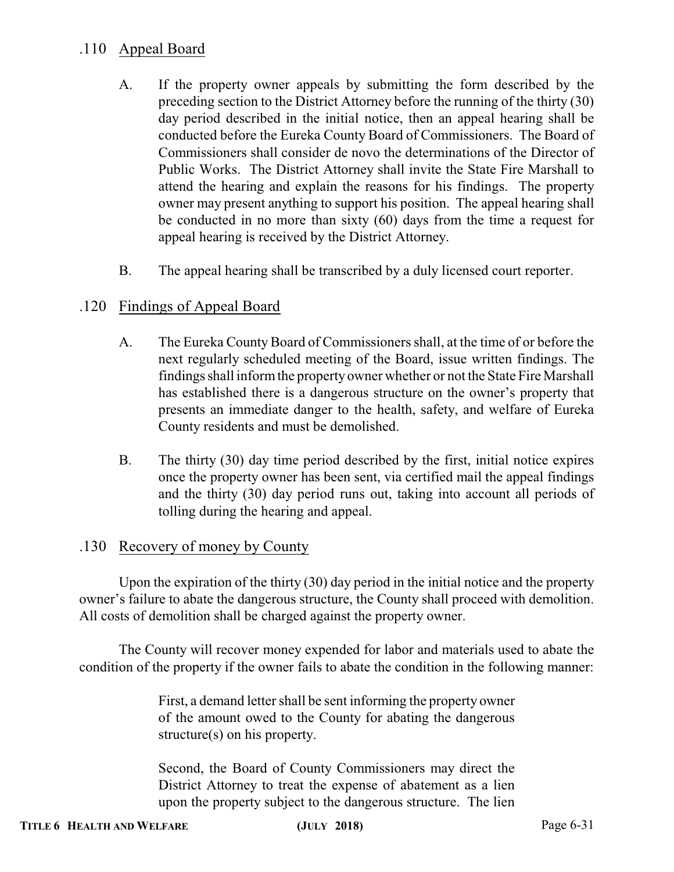# .110 Appeal Board

- A. If the property owner appeals by submitting the form described by the preceding section to the District Attorney before the running of the thirty (30) day period described in the initial notice, then an appeal hearing shall be conducted before the Eureka County Board of Commissioners. The Board of Commissioners shall consider de novo the determinations of the Director of Public Works. The District Attorney shall invite the State Fire Marshall to attend the hearing and explain the reasons for his findings. The property owner may present anything to support his position. The appeal hearing shall be conducted in no more than sixty (60) days from the time a request for appeal hearing is received by the District Attorney.
- B. The appeal hearing shall be transcribed by a duly licensed court reporter.

## .120 Findings of Appeal Board

- A. The Eureka County Board of Commissioners shall, at the time of or before the next regularly scheduled meeting of the Board, issue written findings. The findings shall informthe property owner whether or not the State Fire Marshall has established there is a dangerous structure on the owner's property that presents an immediate danger to the health, safety, and welfare of Eureka County residents and must be demolished.
- B. The thirty (30) day time period described by the first, initial notice expires once the property owner has been sent, via certified mail the appeal findings and the thirty (30) day period runs out, taking into account all periods of tolling during the hearing and appeal.

#### .130 Recovery of money by County

Upon the expiration of the thirty (30) day period in the initial notice and the property owner's failure to abate the dangerous structure, the County shall proceed with demolition. All costs of demolition shall be charged against the property owner.

The County will recover money expended for labor and materials used to abate the condition of the property if the owner fails to abate the condition in the following manner:

> First, a demand letter shall be sent informing the property owner of the amount owed to the County for abating the dangerous structure(s) on his property.

> Second, the Board of County Commissioners may direct the District Attorney to treat the expense of abatement as a lien upon the property subject to the dangerous structure. The lien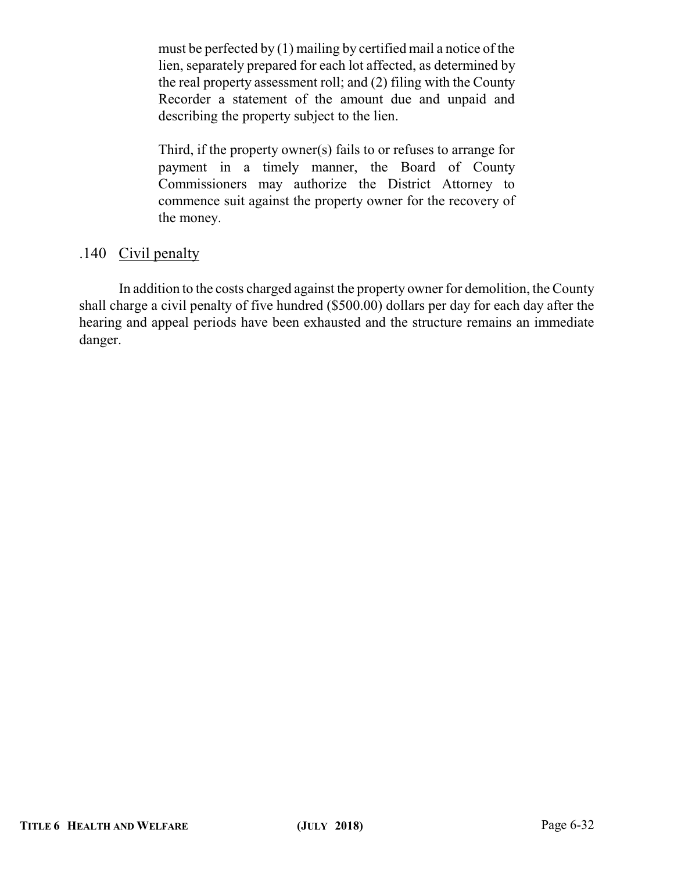must be perfected by (1) mailing by certified mail a notice of the lien, separately prepared for each lot affected, as determined by the real property assessment roll; and (2) filing with the County Recorder a statement of the amount due and unpaid and describing the property subject to the lien.

Third, if the property owner(s) fails to or refuses to arrange for payment in a timely manner, the Board of County Commissioners may authorize the District Attorney to commence suit against the property owner for the recovery of the money.

# .140 Civil penalty

In addition to the costs charged against the property owner for demolition, the County shall charge a civil penalty of five hundred (\$500.00) dollars per day for each day after the hearing and appeal periods have been exhausted and the structure remains an immediate danger.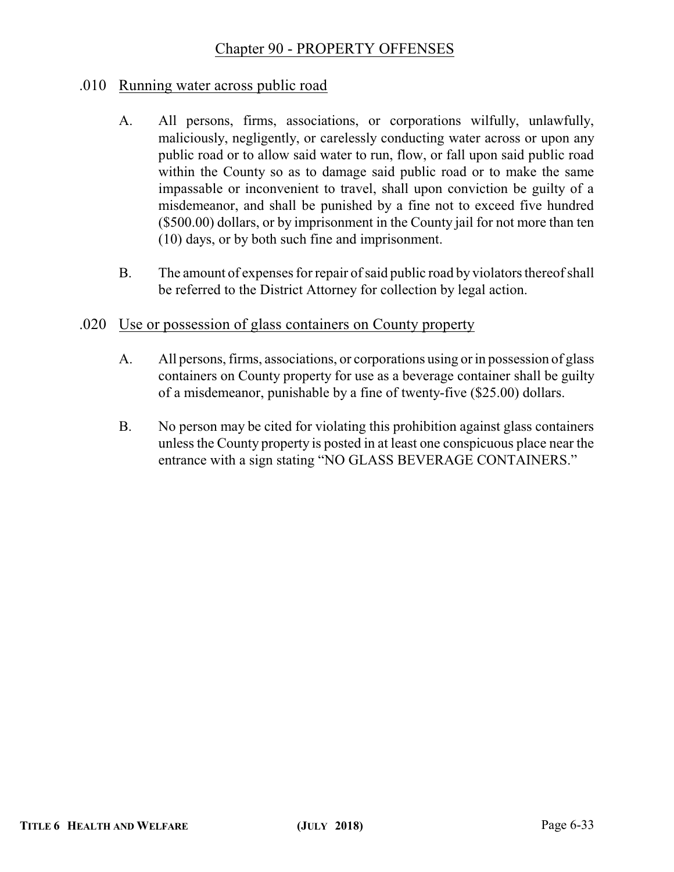# Chapter 90 - PROPERTY OFFENSES

## .010 Running water across public road

- A. All persons, firms, associations, or corporations wilfully, unlawfully, maliciously, negligently, or carelessly conducting water across or upon any public road or to allow said water to run, flow, or fall upon said public road within the County so as to damage said public road or to make the same impassable or inconvenient to travel, shall upon conviction be guilty of a misdemeanor, and shall be punished by a fine not to exceed five hundred (\$500.00) dollars, or by imprisonment in the County jail for not more than ten (10) days, or by both such fine and imprisonment.
- B. The amount of expenses for repair of said public road by violators thereof shall be referred to the District Attorney for collection by legal action.

### .020 Use or possession of glass containers on County property

- A. All persons, firms, associations, or corporations using or in possession of glass containers on County property for use as a beverage container shall be guilty of a misdemeanor, punishable by a fine of twenty-five (\$25.00) dollars.
- B. No person may be cited for violating this prohibition against glass containers unless the County property is posted in at least one conspicuous place near the entrance with a sign stating "NO GLASS BEVERAGE CONTAINERS."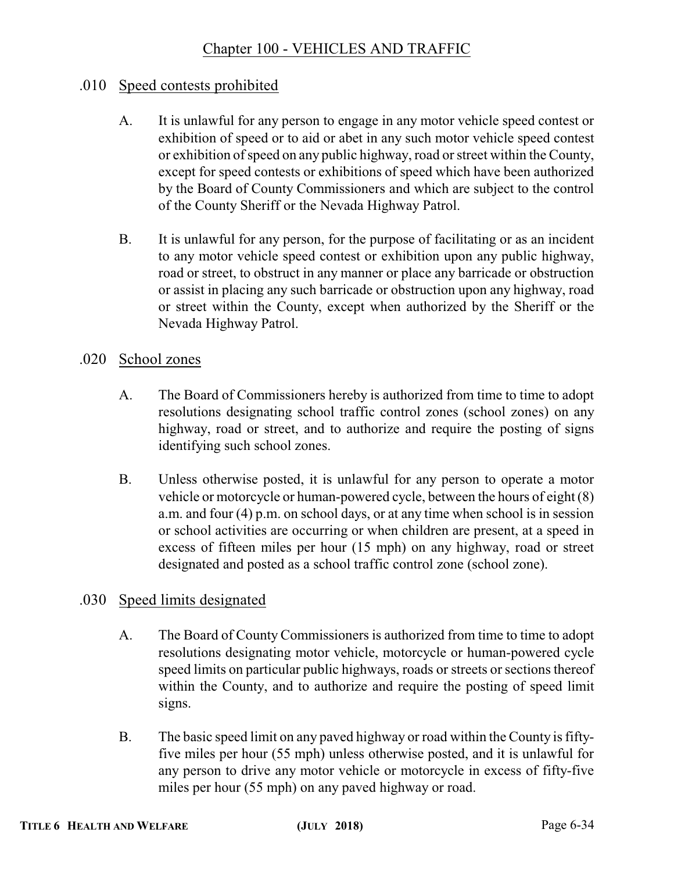# Chapter 100 - VEHICLES AND TRAFFIC

## .010 Speed contests prohibited

- A. It is unlawful for any person to engage in any motor vehicle speed contest or exhibition of speed or to aid or abet in any such motor vehicle speed contest or exhibition of speed on any public highway, road or street within the County, except for speed contests or exhibitions of speed which have been authorized by the Board of County Commissioners and which are subject to the control of the County Sheriff or the Nevada Highway Patrol.
- B. It is unlawful for any person, for the purpose of facilitating or as an incident to any motor vehicle speed contest or exhibition upon any public highway, road or street, to obstruct in any manner or place any barricade or obstruction or assist in placing any such barricade or obstruction upon any highway, road or street within the County, except when authorized by the Sheriff or the Nevada Highway Patrol.

### .020 School zones

- A. The Board of Commissioners hereby is authorized from time to time to adopt resolutions designating school traffic control zones (school zones) on any highway, road or street, and to authorize and require the posting of signs identifying such school zones.
- B. Unless otherwise posted, it is unlawful for any person to operate a motor vehicle or motorcycle or human-powered cycle, between the hours of eight (8) a.m. and four (4) p.m. on school days, or at any time when school is in session or school activities are occurring or when children are present, at a speed in excess of fifteen miles per hour (15 mph) on any highway, road or street designated and posted as a school traffic control zone (school zone).

## .030 Speed limits designated

- A. The Board of County Commissioners is authorized from time to time to adopt resolutions designating motor vehicle, motorcycle or human-powered cycle speed limits on particular public highways, roads or streets or sections thereof within the County, and to authorize and require the posting of speed limit signs.
- B. The basic speed limit on any paved highway or road within the County is fiftyfive miles per hour (55 mph) unless otherwise posted, and it is unlawful for any person to drive any motor vehicle or motorcycle in excess of fifty-five miles per hour (55 mph) on any paved highway or road.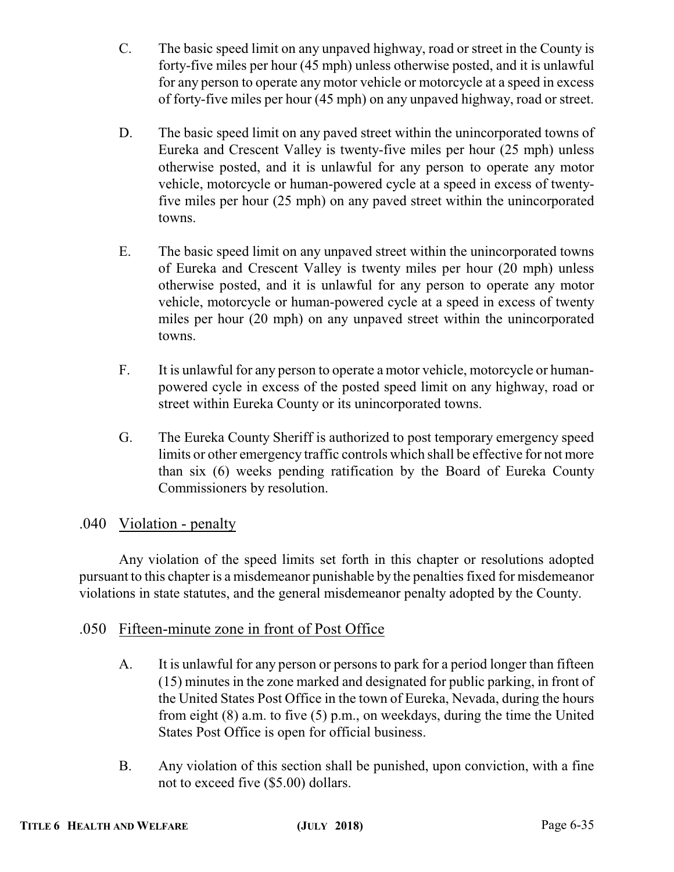- C. The basic speed limit on any unpaved highway, road or street in the County is forty-five miles per hour (45 mph) unless otherwise posted, and it is unlawful for any person to operate any motor vehicle or motorcycle at a speed in excess of forty-five miles per hour (45 mph) on any unpaved highway, road or street.
- D. The basic speed limit on any paved street within the unincorporated towns of Eureka and Crescent Valley is twenty-five miles per hour (25 mph) unless otherwise posted, and it is unlawful for any person to operate any motor vehicle, motorcycle or human-powered cycle at a speed in excess of twentyfive miles per hour (25 mph) on any paved street within the unincorporated towns.
- E. The basic speed limit on any unpaved street within the unincorporated towns of Eureka and Crescent Valley is twenty miles per hour (20 mph) unless otherwise posted, and it is unlawful for any person to operate any motor vehicle, motorcycle or human-powered cycle at a speed in excess of twenty miles per hour (20 mph) on any unpaved street within the unincorporated towns.
- F. It is unlawful for any person to operate a motor vehicle, motorcycle or humanpowered cycle in excess of the posted speed limit on any highway, road or street within Eureka County or its unincorporated towns.
- G. The Eureka County Sheriff is authorized to post temporary emergency speed limits or other emergency traffic controls which shall be effective for not more than six (6) weeks pending ratification by the Board of Eureka County Commissioners by resolution.

# .040 Violation - penalty

Any violation of the speed limits set forth in this chapter or resolutions adopted pursuant to this chapter is a misdemeanor punishable by the penalties fixed for misdemeanor violations in state statutes, and the general misdemeanor penalty adopted by the County.

## .050 Fifteen-minute zone in front of Post Office

- A. It is unlawful for any person or persons to park for a period longer than fifteen (15) minutes in the zone marked and designated for public parking, in front of the United States Post Office in the town of Eureka, Nevada, during the hours from eight (8) a.m. to five (5) p.m., on weekdays, during the time the United States Post Office is open for official business.
- B. Any violation of this section shall be punished, upon conviction, with a fine not to exceed five (\$5.00) dollars.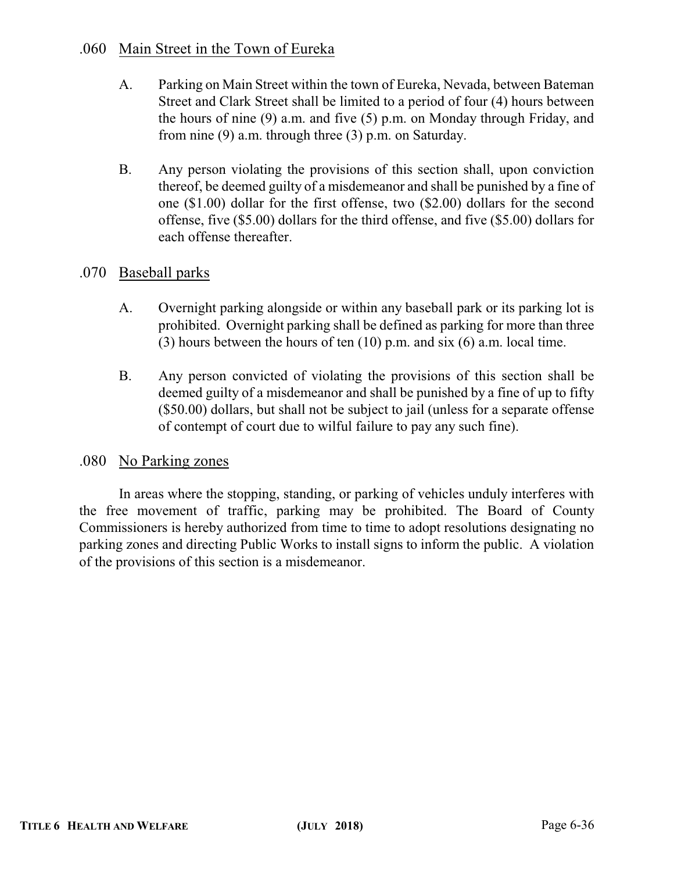## .060 Main Street in the Town of Eureka

- A. Parking on Main Street within the town of Eureka, Nevada, between Bateman Street and Clark Street shall be limited to a period of four (4) hours between the hours of nine (9) a.m. and five (5) p.m. on Monday through Friday, and from nine (9) a.m. through three (3) p.m. on Saturday.
- B. Any person violating the provisions of this section shall, upon conviction thereof, be deemed guilty of a misdemeanor and shall be punished by a fine of one (\$1.00) dollar for the first offense, two (\$2.00) dollars for the second offense, five (\$5.00) dollars for the third offense, and five (\$5.00) dollars for each offense thereafter.

# .070 Baseball parks

- A. Overnight parking alongside or within any baseball park or its parking lot is prohibited. Overnight parking shall be defined as parking for more than three (3) hours between the hours of ten (10) p.m. and six (6) a.m. local time.
- B. Any person convicted of violating the provisions of this section shall be deemed guilty of a misdemeanor and shall be punished by a fine of up to fifty (\$50.00) dollars, but shall not be subject to jail (unless for a separate offense of contempt of court due to wilful failure to pay any such fine).

## .080 No Parking zones

In areas where the stopping, standing, or parking of vehicles unduly interferes with the free movement of traffic, parking may be prohibited. The Board of County Commissioners is hereby authorized from time to time to adopt resolutions designating no parking zones and directing Public Works to install signs to inform the public. A violation of the provisions of this section is a misdemeanor.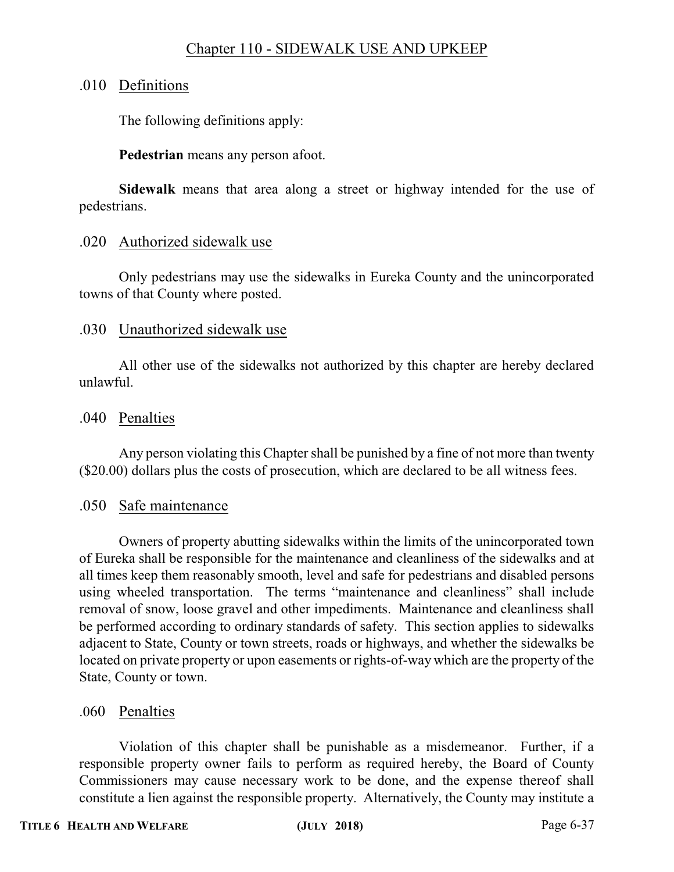# Chapter 110 - SIDEWALK USE AND UPKEEP

## .010 Definitions

The following definitions apply:

**Pedestrian** means any person afoot.

**Sidewalk** means that area along a street or highway intended for the use of pedestrians.

### .020 Authorized sidewalk use

Only pedestrians may use the sidewalks in Eureka County and the unincorporated towns of that County where posted.

### .030 Unauthorized sidewalk use

All other use of the sidewalks not authorized by this chapter are hereby declared unlawful.

### .040 Penalties

Any person violating this Chapter shall be punished by a fine of not more than twenty (\$20.00) dollars plus the costs of prosecution, which are declared to be all witness fees.

#### .050 Safe maintenance

Owners of property abutting sidewalks within the limits of the unincorporated town of Eureka shall be responsible for the maintenance and cleanliness of the sidewalks and at all times keep them reasonably smooth, level and safe for pedestrians and disabled persons using wheeled transportation. The terms "maintenance and cleanliness" shall include removal of snow, loose gravel and other impediments. Maintenance and cleanliness shall be performed according to ordinary standards of safety. This section applies to sidewalks adjacent to State, County or town streets, roads or highways, and whether the sidewalks be located on private property or upon easements or rights-of-way which are the property of the State, County or town.

#### .060 Penalties

Violation of this chapter shall be punishable as a misdemeanor. Further, if a responsible property owner fails to perform as required hereby, the Board of County Commissioners may cause necessary work to be done, and the expense thereof shall constitute a lien against the responsible property. Alternatively, the County may institute a

# **TITLE 6 HEALTH AND WELFARE (JULY 2018)** Page 6-37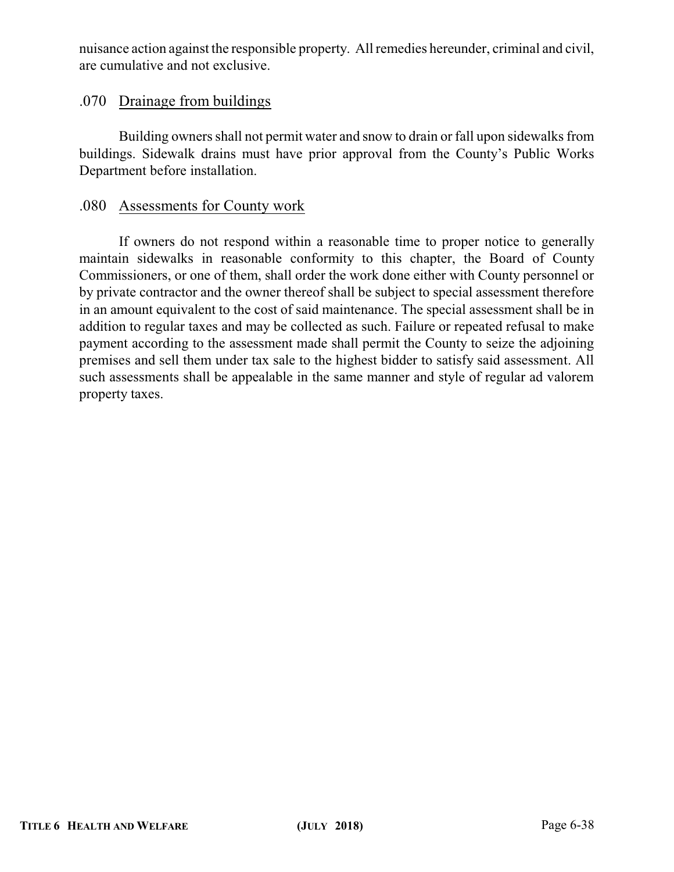nuisance action against the responsible property. All remedies hereunder, criminal and civil, are cumulative and not exclusive.

# .070 Drainage from buildings

Building owners shall not permit water and snow to drain or fall upon sidewalks from buildings. Sidewalk drains must have prior approval from the County's Public Works Department before installation.

## .080 Assessments for County work

If owners do not respond within a reasonable time to proper notice to generally maintain sidewalks in reasonable conformity to this chapter, the Board of County Commissioners, or one of them, shall order the work done either with County personnel or by private contractor and the owner thereof shall be subject to special assessment therefore in an amount equivalent to the cost of said maintenance. The special assessment shall be in addition to regular taxes and may be collected as such. Failure or repeated refusal to make payment according to the assessment made shall permit the County to seize the adjoining premises and sell them under tax sale to the highest bidder to satisfy said assessment. All such assessments shall be appealable in the same manner and style of regular ad valorem property taxes.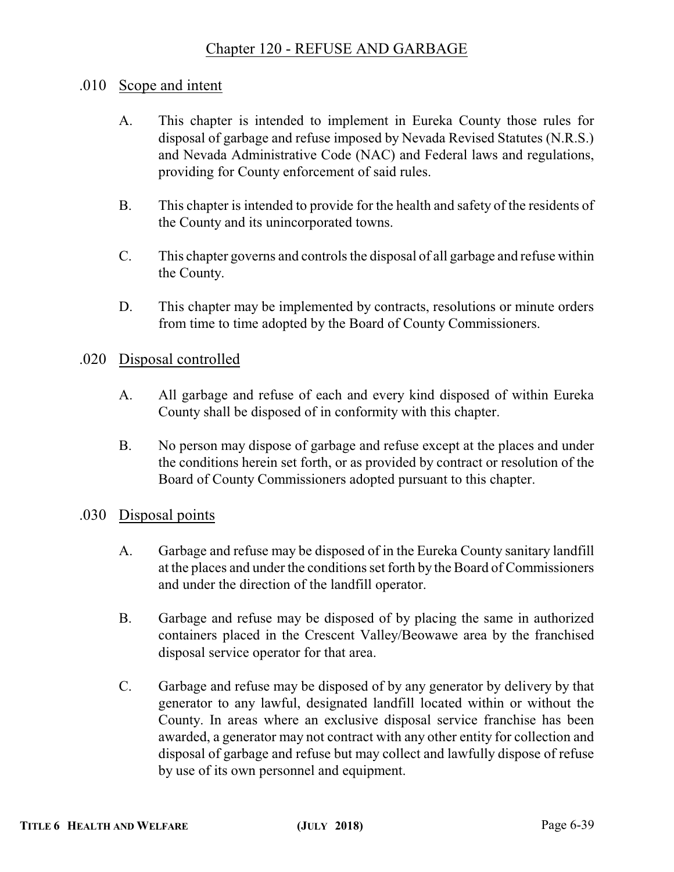# Chapter 120 - REFUSE AND GARBAGE

## .010 Scope and intent

- A. This chapter is intended to implement in Eureka County those rules for disposal of garbage and refuse imposed by Nevada Revised Statutes (N.R.S.) and Nevada Administrative Code (NAC) and Federal laws and regulations, providing for County enforcement of said rules.
- B. This chapter is intended to provide for the health and safety of the residents of the County and its unincorporated towns.
- C. This chapter governs and controls the disposal of all garbage and refuse within the County.
- D. This chapter may be implemented by contracts, resolutions or minute orders from time to time adopted by the Board of County Commissioners.

## .020 Disposal controlled

- A. All garbage and refuse of each and every kind disposed of within Eureka County shall be disposed of in conformity with this chapter.
- B. No person may dispose of garbage and refuse except at the places and under the conditions herein set forth, or as provided by contract or resolution of the Board of County Commissioners adopted pursuant to this chapter.

## .030 Disposal points

- A. Garbage and refuse may be disposed of in the Eureka County sanitary landfill at the places and under the conditions set forth by the Board of Commissioners and under the direction of the landfill operator.
- B. Garbage and refuse may be disposed of by placing the same in authorized containers placed in the Crescent Valley/Beowawe area by the franchised disposal service operator for that area.
- C. Garbage and refuse may be disposed of by any generator by delivery by that generator to any lawful, designated landfill located within or without the County. In areas where an exclusive disposal service franchise has been awarded, a generator may not contract with any other entity for collection and disposal of garbage and refuse but may collect and lawfully dispose of refuse by use of its own personnel and equipment.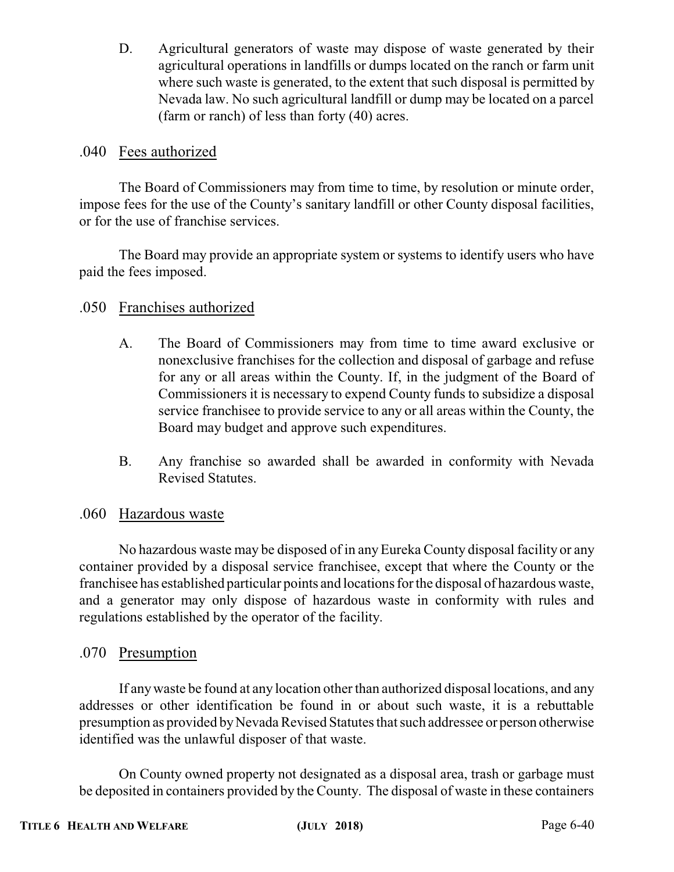D. Agricultural generators of waste may dispose of waste generated by their agricultural operations in landfills or dumps located on the ranch or farm unit where such waste is generated, to the extent that such disposal is permitted by Nevada law. No such agricultural landfill or dump may be located on a parcel (farm or ranch) of less than forty (40) acres.

# .040 Fees authorized

The Board of Commissioners may from time to time, by resolution or minute order, impose fees for the use of the County's sanitary landfill or other County disposal facilities, or for the use of franchise services.

The Board may provide an appropriate system or systems to identify users who have paid the fees imposed.

# .050 Franchises authorized

- A. The Board of Commissioners may from time to time award exclusive or nonexclusive franchises for the collection and disposal of garbage and refuse for any or all areas within the County. If, in the judgment of the Board of Commissioners it is necessary to expend County funds to subsidize a disposal service franchisee to provide service to any or all areas within the County, the Board may budget and approve such expenditures.
- B. Any franchise so awarded shall be awarded in conformity with Nevada Revised Statutes.

# .060 Hazardous waste

No hazardous waste may be disposed of in anyEureka County disposal facility or any container provided by a disposal service franchisee, except that where the County or the franchisee has established particular points and locations for the disposal of hazardous waste, and a generator may only dispose of hazardous waste in conformity with rules and regulations established by the operator of the facility.

## .070 Presumption

If anywaste be found at any location other than authorized disposal locations, and any addresses or other identification be found in or about such waste, it is a rebuttable presumption as provided byNevada Revised Statutes that such addressee or person otherwise identified was the unlawful disposer of that waste.

On County owned property not designated as a disposal area, trash or garbage must be deposited in containers provided by the County. The disposal of waste in these containers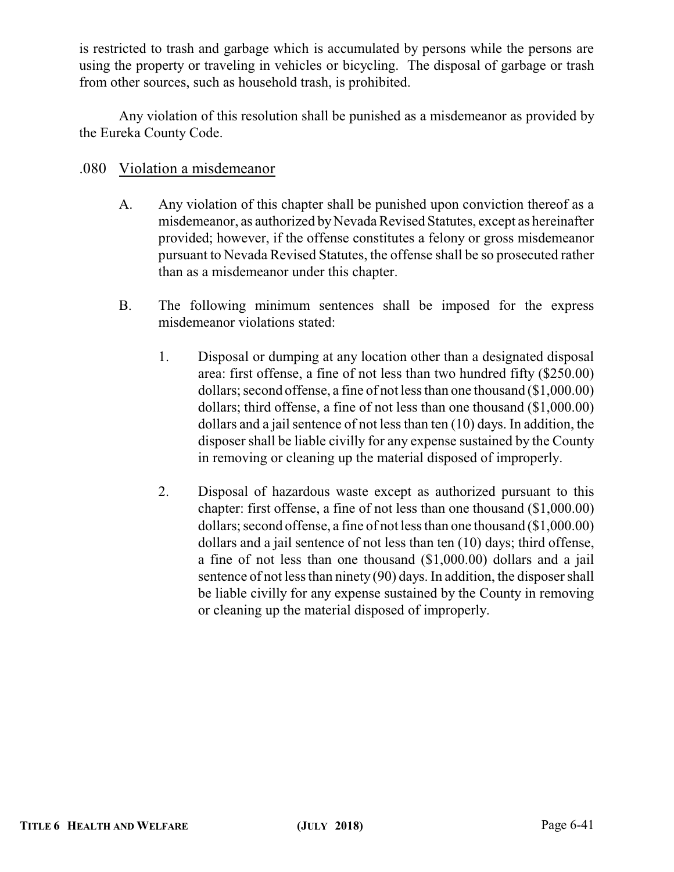is restricted to trash and garbage which is accumulated by persons while the persons are using the property or traveling in vehicles or bicycling. The disposal of garbage or trash from other sources, such as household trash, is prohibited.

Any violation of this resolution shall be punished as a misdemeanor as provided by the Eureka County Code.

# .080 Violation a misdemeanor

- A. Any violation of this chapter shall be punished upon conviction thereof as a misdemeanor, as authorized byNevada Revised Statutes, except as hereinafter provided; however, if the offense constitutes a felony or gross misdemeanor pursuant to Nevada Revised Statutes, the offense shall be so prosecuted rather than as a misdemeanor under this chapter.
- B. The following minimum sentences shall be imposed for the express misdemeanor violations stated:
	- 1. Disposal or dumping at any location other than a designated disposal area: first offense, a fine of not less than two hundred fifty (\$250.00) dollars; second offense, a fine of not less than one thousand (\$1,000.00) dollars; third offense, a fine of not less than one thousand (\$1,000.00) dollars and a jail sentence of not less than ten (10) days. In addition, the disposer shall be liable civilly for any expense sustained by the County in removing or cleaning up the material disposed of improperly.
	- 2. Disposal of hazardous waste except as authorized pursuant to this chapter: first offense, a fine of not less than one thousand (\$1,000.00) dollars; second offense, a fine of not less than one thousand (\$1,000.00) dollars and a jail sentence of not less than ten (10) days; third offense, a fine of not less than one thousand (\$1,000.00) dollars and a jail sentence of not less than ninety (90) days. In addition, the disposer shall be liable civilly for any expense sustained by the County in removing or cleaning up the material disposed of improperly.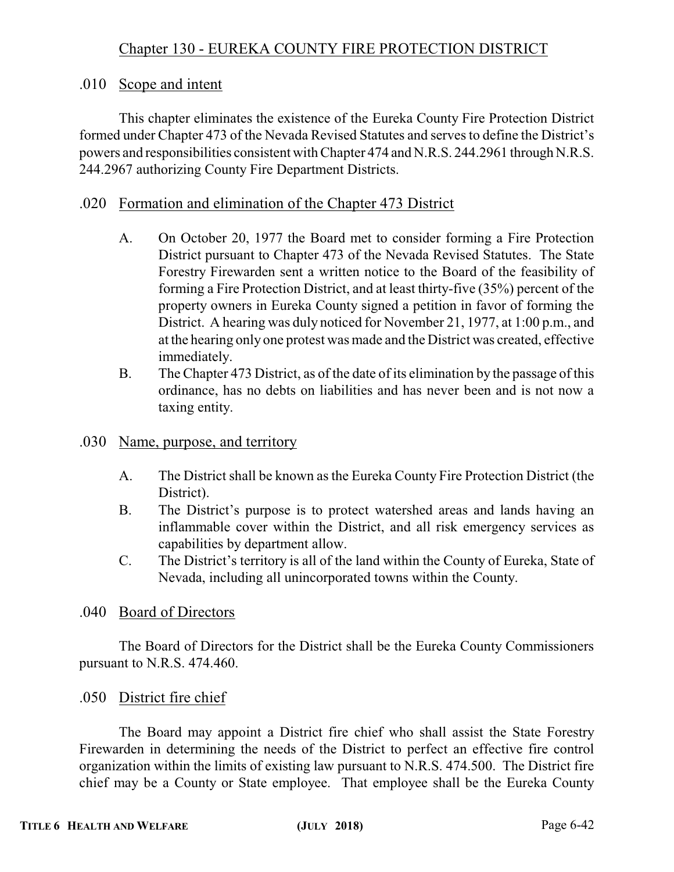# .010 Scope and intent

This chapter eliminates the existence of the Eureka County Fire Protection District formed under Chapter 473 of the Nevada Revised Statutes and serves to define the District's powers and responsibilities consistent with Chapter 474 and N.R.S. 244.2961 through N.R.S. 244.2967 authorizing County Fire Department Districts.

# .020 Formation and elimination of the Chapter 473 District

- A. On October 20, 1977 the Board met to consider forming a Fire Protection District pursuant to Chapter 473 of the Nevada Revised Statutes. The State Forestry Firewarden sent a written notice to the Board of the feasibility of forming a Fire Protection District, and at least thirty-five (35%) percent of the property owners in Eureka County signed a petition in favor of forming the District. A hearing was duly noticed for November 21, 1977, at 1:00 p.m., and at the hearing only one protest was made and the District was created, effective immediately.
- B. The Chapter 473 District, as of the date of its elimination by the passage of this ordinance, has no debts on liabilities and has never been and is not now a taxing entity.
- .030 Name, purpose, and territory
	- A. The District shall be known as the Eureka County Fire Protection District (the District).
	- B. The District's purpose is to protect watershed areas and lands having an inflammable cover within the District, and all risk emergency services as capabilities by department allow.
	- C. The District's territory is all of the land within the County of Eureka, State of Nevada, including all unincorporated towns within the County.

## .040 Board of Directors

The Board of Directors for the District shall be the Eureka County Commissioners pursuant to N.R.S. 474.460.

# .050 District fire chief

The Board may appoint a District fire chief who shall assist the State Forestry Firewarden in determining the needs of the District to perfect an effective fire control organization within the limits of existing law pursuant to N.R.S. 474.500. The District fire chief may be a County or State employee. That employee shall be the Eureka County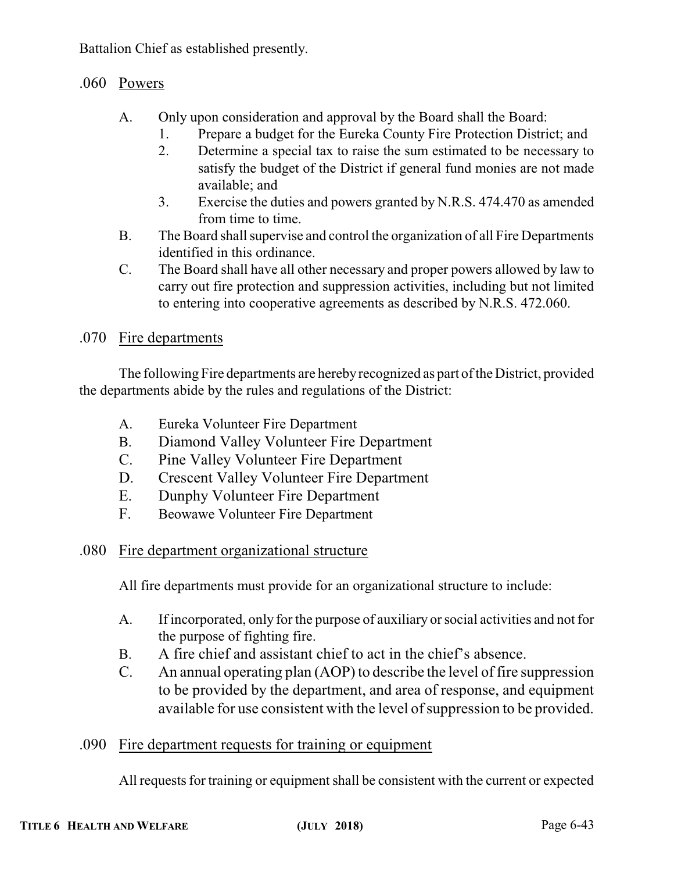Battalion Chief as established presently.

# .060 Powers

- A. Only upon consideration and approval by the Board shall the Board:
	- 1. Prepare a budget for the Eureka County Fire Protection District; and
		- 2. Determine a special tax to raise the sum estimated to be necessary to satisfy the budget of the District if general fund monies are not made available; and
		- 3. Exercise the duties and powers granted by N.R.S. 474.470 as amended from time to time.
- B. The Board shall supervise and control the organization of all Fire Departments identified in this ordinance.
- C. The Board shall have all other necessary and proper powers allowed by law to carry out fire protection and suppression activities, including but not limited to entering into cooperative agreements as described by N.R.S. 472.060.

# .070 Fire departments

The following Fire departments are herebyrecognized as part ofthe District, provided the departments abide by the rules and regulations of the District:

- A. Eureka Volunteer Fire Department
- B. Diamond Valley Volunteer Fire Department
- C. Pine Valley Volunteer Fire Department
- D. Crescent Valley Volunteer Fire Department
- E. Dunphy Volunteer Fire Department
- F. Beowawe Volunteer Fire Department

# .080 Fire department organizational structure

All fire departments must provide for an organizational structure to include:

- A. If incorporated, only for the purpose of auxiliary or social activities and not for the purpose of fighting fire.
- B. A fire chief and assistant chief to act in the chief's absence.
- C. An annual operating plan (AOP) to describe the level of fire suppression to be provided by the department, and area of response, and equipment available for use consistent with the level of suppression to be provided.
- .090 Fire department requests for training or equipment

All requests for training or equipment shall be consistent with the current or expected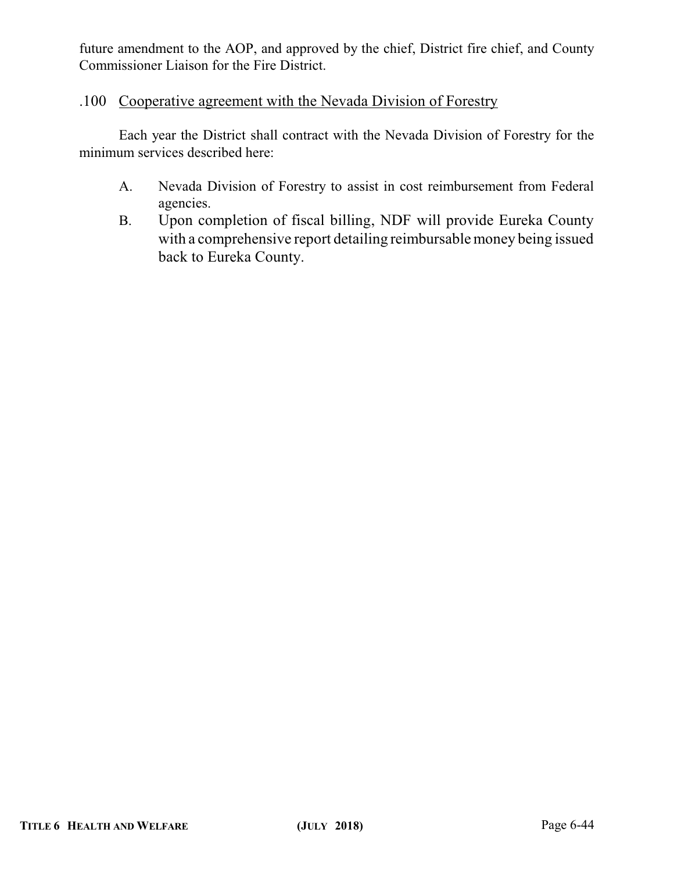future amendment to the AOP, and approved by the chief, District fire chief, and County Commissioner Liaison for the Fire District.

# .100 Cooperative agreement with the Nevada Division of Forestry

Each year the District shall contract with the Nevada Division of Forestry for the minimum services described here:

- A. Nevada Division of Forestry to assist in cost reimbursement from Federal agencies.
- B. Upon completion of fiscal billing, NDF will provide Eureka County with a comprehensive report detailing reimbursable money being issued back to Eureka County.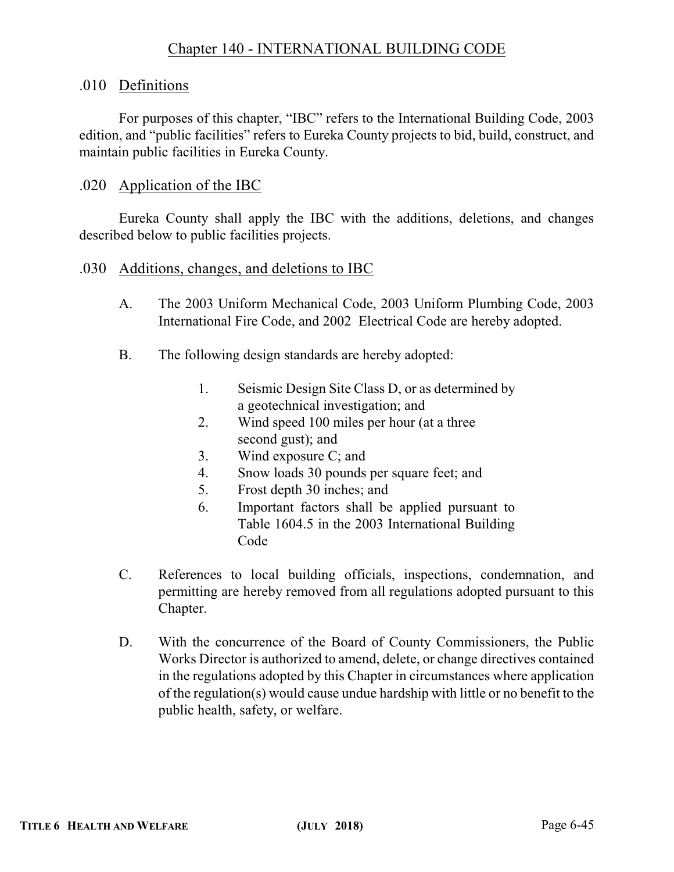# Chapter 140 - INTERNATIONAL BUILDING CODE

#### .010 Definitions

For purposes of this chapter, "IBC" refers to the International Building Code, 2003 edition, and "public facilities" refers to Eureka County projects to bid, build, construct, and maintain public facilities in Eureka County.

#### .020 Application of the IBC

Eureka County shall apply the IBC with the additions, deletions, and changes described below to public facilities projects.

#### .030 Additions, changes, and deletions to IBC

- A. The 2003 Uniform Mechanical Code, 2003 Uniform Plumbing Code, 2003 International Fire Code, and 2002 Electrical Code are hereby adopted.
- B. The following design standards are hereby adopted:
	- 1. Seismic Design Site Class D, or as determined by a geotechnical investigation; and
	- 2. Wind speed 100 miles per hour (at a three second gust); and
	- 3. Wind exposure C; and
	- 4. Snow loads 30 pounds per square feet; and
	- 5. Frost depth 30 inches; and
	- 6. Important factors shall be applied pursuant to Table 1604.5 in the 2003 International Building Code
- C. References to local building officials, inspections, condemnation, and permitting are hereby removed from all regulations adopted pursuant to this Chapter.
- D. With the concurrence of the Board of County Commissioners, the Public Works Director is authorized to amend, delete, or change directives contained in the regulations adopted by this Chapter in circumstances where application of the regulation(s) would cause undue hardship with little or no benefit to the public health, safety, or welfare.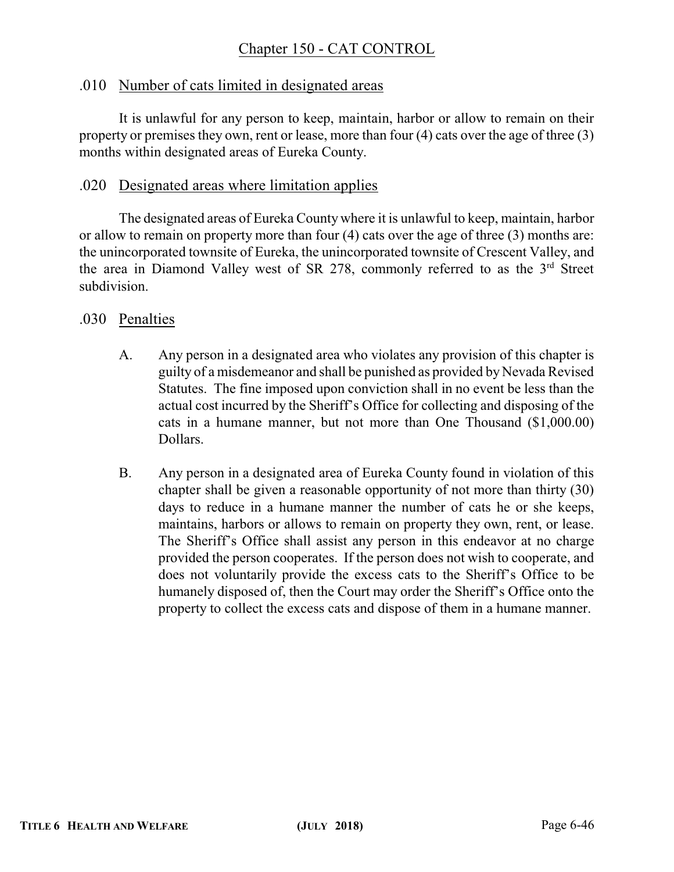# Chapter 150 - CAT CONTROL

#### .010 Number of cats limited in designated areas

It is unlawful for any person to keep, maintain, harbor or allow to remain on their property or premises they own, rent or lease, more than four (4) cats over the age of three (3) months within designated areas of Eureka County.

#### .020 Designated areas where limitation applies

The designated areas of Eureka County where it is unlawful to keep, maintain, harbor or allow to remain on property more than four (4) cats over the age of three (3) months are: the unincorporated townsite of Eureka, the unincorporated townsite of Crescent Valley, and the area in Diamond Valley west of SR 278, commonly referred to as the  $3<sup>rd</sup>$  Street subdivision.

#### .030 Penalties

- A. Any person in a designated area who violates any provision of this chapter is guilty of a misdemeanor and shall be punished as provided by Nevada Revised Statutes. The fine imposed upon conviction shall in no event be less than the actual cost incurred by the Sheriff's Office for collecting and disposing of the cats in a humane manner, but not more than One Thousand (\$1,000.00) Dollars.
- B. Any person in a designated area of Eureka County found in violation of this chapter shall be given a reasonable opportunity of not more than thirty (30) days to reduce in a humane manner the number of cats he or she keeps, maintains, harbors or allows to remain on property they own, rent, or lease. The Sheriff's Office shall assist any person in this endeavor at no charge provided the person cooperates. If the person does not wish to cooperate, and does not voluntarily provide the excess cats to the Sheriff's Office to be humanely disposed of, then the Court may order the Sheriff's Office onto the property to collect the excess cats and dispose of them in a humane manner.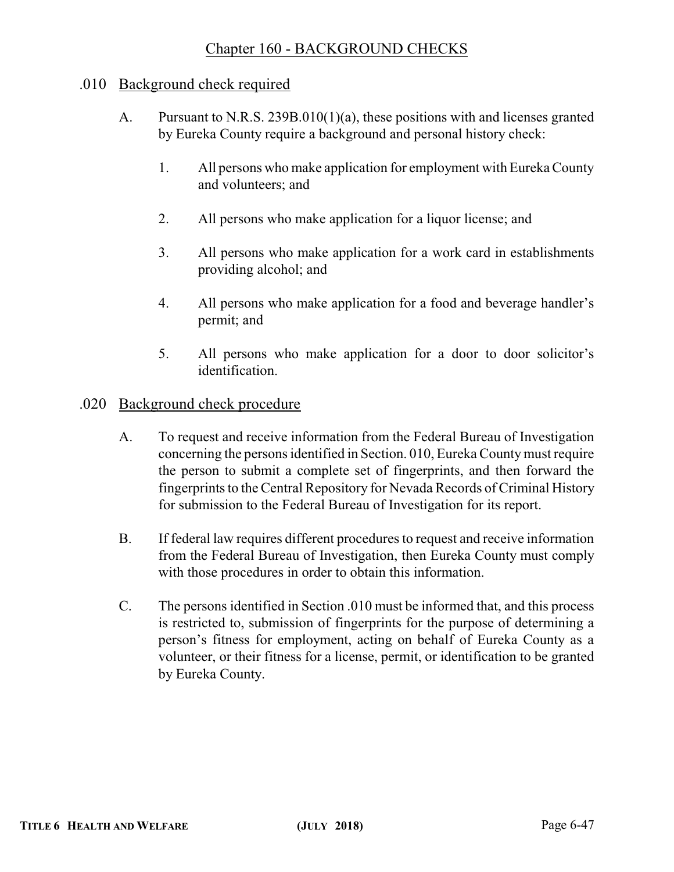# Chapter 160 - BACKGROUND CHECKS

## .010 Background check required

- A. Pursuant to N.R.S. 239B.010(1)(a), these positions with and licenses granted by Eureka County require a background and personal history check:
	- 1. All persons who make application for employment with Eureka County and volunteers; and
	- 2. All persons who make application for a liquor license; and
	- 3. All persons who make application for a work card in establishments providing alcohol; and
	- 4. All persons who make application for a food and beverage handler's permit; and
	- 5. All persons who make application for a door to door solicitor's identification.

#### .020 Background check procedure

- A. To request and receive information from the Federal Bureau of Investigation concerning the persons identified in Section. 010, Eureka Countymust require the person to submit a complete set of fingerprints, and then forward the fingerprints to the Central Repository for Nevada Records of Criminal History for submission to the Federal Bureau of Investigation for its report.
- B. If federal law requires different procedures to request and receive information from the Federal Bureau of Investigation, then Eureka County must comply with those procedures in order to obtain this information.
- C. The persons identified in Section .010 must be informed that, and this process is restricted to, submission of fingerprints for the purpose of determining a person's fitness for employment, acting on behalf of Eureka County as a volunteer, or their fitness for a license, permit, or identification to be granted by Eureka County.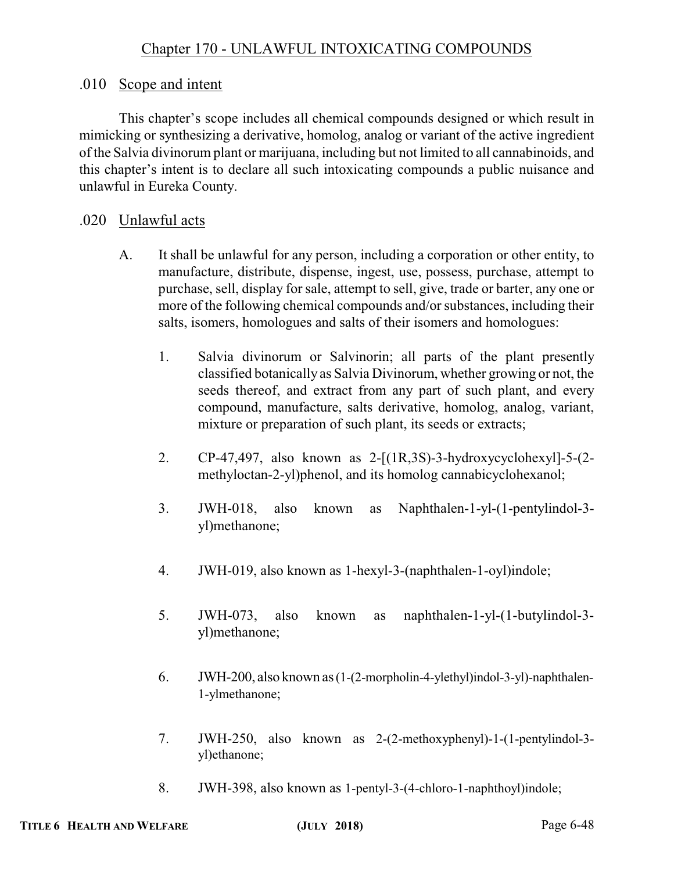# .010 Scope and intent

This chapter's scope includes all chemical compounds designed or which result in mimicking or synthesizing a derivative, homolog, analog or variant of the active ingredient of the Salvia divinorum plant or marijuana, including but not limited to all cannabinoids, and this chapter's intent is to declare all such intoxicating compounds a public nuisance and unlawful in Eureka County.

# .020 Unlawful acts

- A. It shall be unlawful for any person, including a corporation or other entity, to manufacture, distribute, dispense, ingest, use, possess, purchase, attempt to purchase, sell, display for sale, attempt to sell, give, trade or barter, any one or more of the following chemical compounds and/or substances, including their salts, isomers, homologues and salts of their isomers and homologues:
	- 1. Salvia divinorum or Salvinorin; all parts of the plant presently classified botanically as Salvia Divinorum, whether growing or not, the seeds thereof, and extract from any part of such plant, and every compound, manufacture, salts derivative, homolog, analog, variant, mixture or preparation of such plant, its seeds or extracts;
	- 2. CP-47,497, also known as 2-[(1R,3S)-3-hydroxycyclohexyl]-5-(2 methyloctan-2-yl)phenol, and its homolog cannabicyclohexanol;
	- 3. JWH-018, also known as Naphthalen-1-yl-(1-pentylindol-3 yl)methanone;
	- 4. JWH-019, also known as 1-hexyl-3-(naphthalen-1-oyl)indole;
	- 5. JWH-073, also known as naphthalen-1-yl-(1-butylindol-3 yl)methanone;
	- 6. JWH-200, also known as(1-(2-morpholin-4-ylethyl)indol-3-yl)-naphthalen-1-ylmethanone;
	- 7. JWH-250, also known as 2-(2-methoxyphenyl)-1-(1-pentylindol-3 yl)ethanone;
	- 8. JWH-398, also known as 1-pentyl-3-(4-chloro-1-naphthoyl)indole;